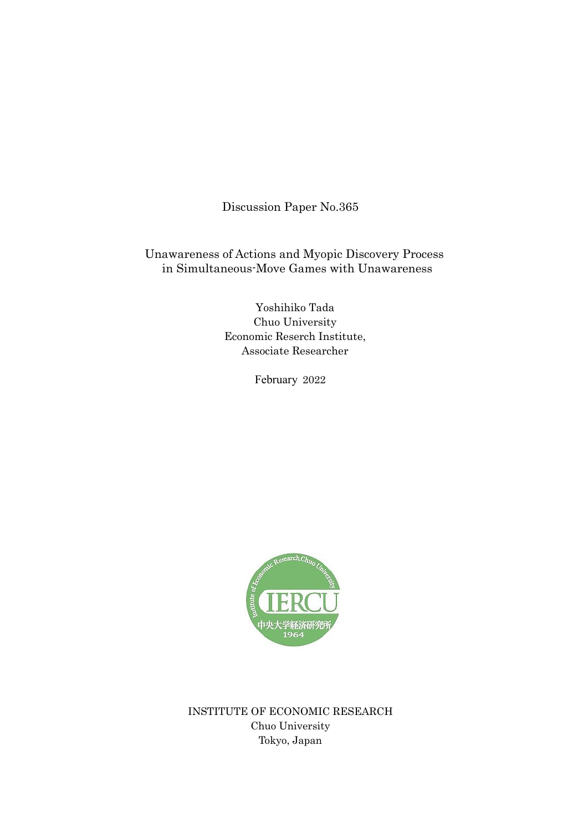Discussion Paper No.365

Unawareness of Actions and Myopic Discovery Process in Simultaneous-Move Games with Unawareness

> Yoshihiko Tada Chuo University Economic Reserch Institute, Associate Researcher

> > February 2022



INSTITUTE OF ECONOMIC RESEARCH Chuo University Tokyo, Japan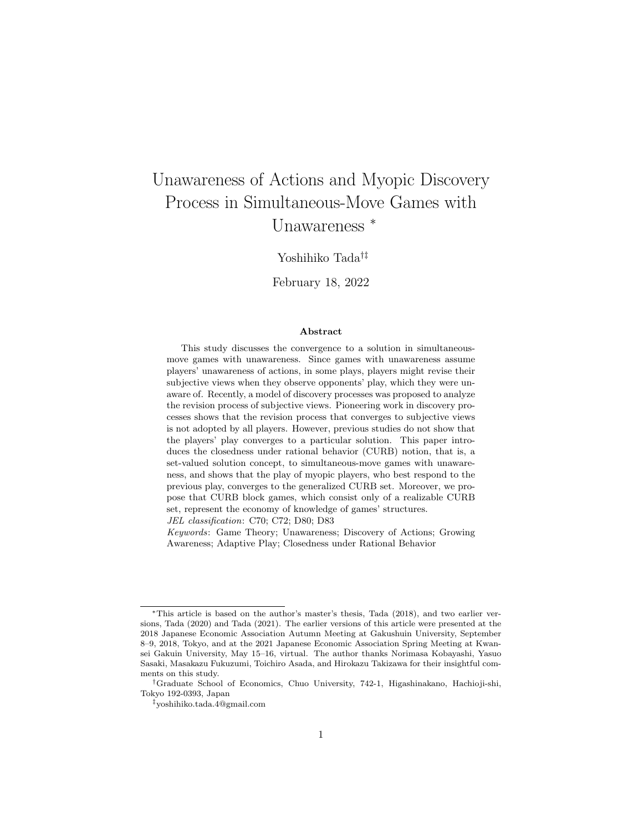# Unawareness of Actions and Myopic Discovery Process in Simultaneous-Move Games with Unawareness *<sup>∗</sup>*

Yoshihiko Tada*†‡*

February 18, 2022

#### **Abstract**

This study discusses the convergence to a solution in simultaneousmove games with unawareness. Since games with unawareness assume players' unawareness of actions, in some plays, players might revise their subjective views when they observe opponents' play, which they were unaware of. Recently, a model of discovery processes was proposed to analyze the revision process of subjective views. Pioneering work in discovery processes shows that the revision process that converges to subjective views is not adopted by all players. However, previous studies do not show that the players' play converges to a particular solution. This paper introduces the closedness under rational behavior (CURB) notion, that is, a set-valued solution concept, to simultaneous-move games with unawareness, and shows that the play of myopic players, who best respond to the previous play, converges to the generalized CURB set. Moreover, we propose that CURB block games, which consist only of a realizable CURB set, represent the economy of knowledge of games' structures.

*JEL classification*: C70; C72; D80; D83

*Keywords*: Game Theory; Unawareness; Discovery of Actions; Growing Awareness; Adaptive Play; Closedness under Rational Behavior

*<sup>∗</sup>*This article is based on the author's master's thesis, Tada (2018), and two earlier versions, Tada (2020) and Tada (2021). The earlier versions of this article were presented at the 2018 Japanese Economic Association Autumn Meeting at Gakushuin University, September 8–9, 2018, Tokyo, and at the 2021 Japanese Economic Association Spring Meeting at Kwansei Gakuin University, May 15–16, virtual. The author thanks Norimasa Kobayashi, Yasuo Sasaki, Masakazu Fukuzumi, Toichiro Asada, and Hirokazu Takizawa for their insightful comments on this study.

*<sup>†</sup>*Graduate School of Economics, Chuo University, 742-1, Higashinakano, Hachioji-shi, Tokyo 192-0393, Japan

*<sup>‡</sup>*yoshihiko.tada.4@gmail.com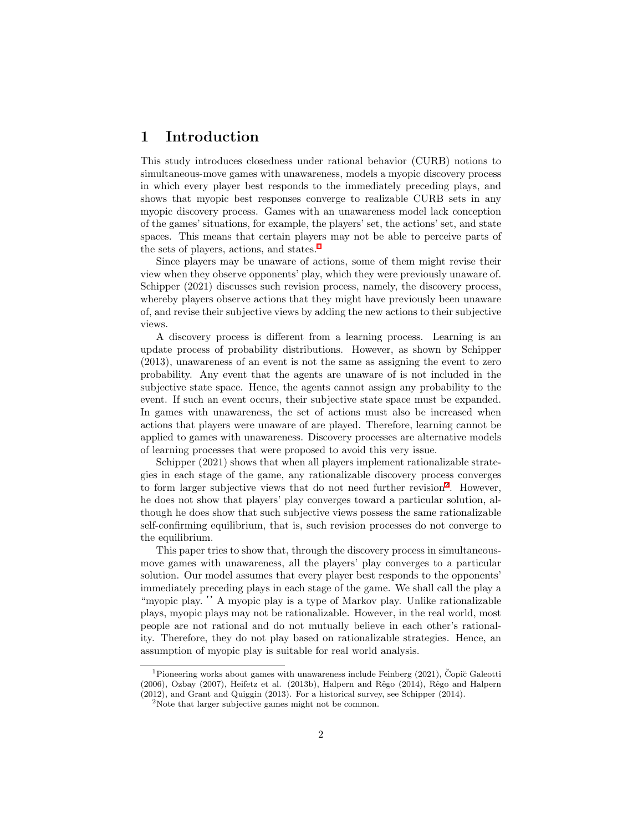## **1 Introduction**

This study introduces closedness under rational behavior (CURB) notions to simultaneous-move games with unawareness, models a myopic discovery process in which every player best responds to the immediately preceding plays, and shows that myopic best responses converge to realizable CURB sets in any myopic discovery process. Games with an unawareness model lack conception of the games' situations, for example, the players' set, the actions' set, and state spaces. This means that certain players may not be able to perceive parts of the sets of players, actions, and states.<sup>[1](#page-2-0)</sup>

Since players may be unaware of actions, some of them might revise their view when they observe opponents' play, which they were previously unaware of. Schipper (2021) discusses such revision process, namely, the discovery process, whereby players observe actions that they might have previously been unaware of, and revise their subjective views by adding the new actions to their subjective views.

A discovery process is different from a learning process. Learning is an update process of probability distributions. However, as shown by Schipper (2013), unawareness of an event is not the same as assigning the event to zero probability. Any event that the agents are unaware of is not included in the subjective state space. Hence, the agents cannot assign any probability to the event. If such an event occurs, their subjective state space must be expanded. In games with unawareness, the set of actions must also be increased when actions that players were unaware of are played. Therefore, learning cannot be applied to games with unawareness. Discovery processes are alternative models of learning processes that were proposed to avoid this very issue.

Schipper (2021) shows that when all players implement rationalizable strategies in each stage of the game, any rationalizable discovery process converges to form larger subjective views that do not need further revision<sup>[2](#page-2-1)</sup>. However, he does not show that players' play converges toward a particular solution, although he does show that such subjective views possess the same rationalizable self-confirming equilibrium, that is, such revision processes do not converge to the equilibrium.

This paper tries to show that, through the discovery process in simultaneousmove games with unawareness, all the players' play converges to a particular solution. Our model assumes that every player best responds to the opponents' immediately preceding plays in each stage of the game. We shall call the play a "myopic play. ''A myopic play is a type of Markov play. Unlike rationalizable plays, myopic plays may not be rationalizable. However, in the real world, most people are not rational and do not mutually believe in each other's rationality. Therefore, they do not play based on rationalizable strategies. Hence, an assumption of myopic play is suitable for real world analysis.

<span id="page-2-0"></span><sup>&</sup>lt;sup>1</sup> Pioneering works about games with unawareness include Feinberg (2021), Copič Galeotti (2006), Ozbay (2007), Heifetz et al. (2013b), Halpern and Rêgo (2014), Rêgo and Halpern (2012), and Grant and Quiggin (2013). For a historical survey, see Schipper (2014).

<span id="page-2-1"></span><sup>&</sup>lt;sup>2</sup>Note that larger subjective games might not be common.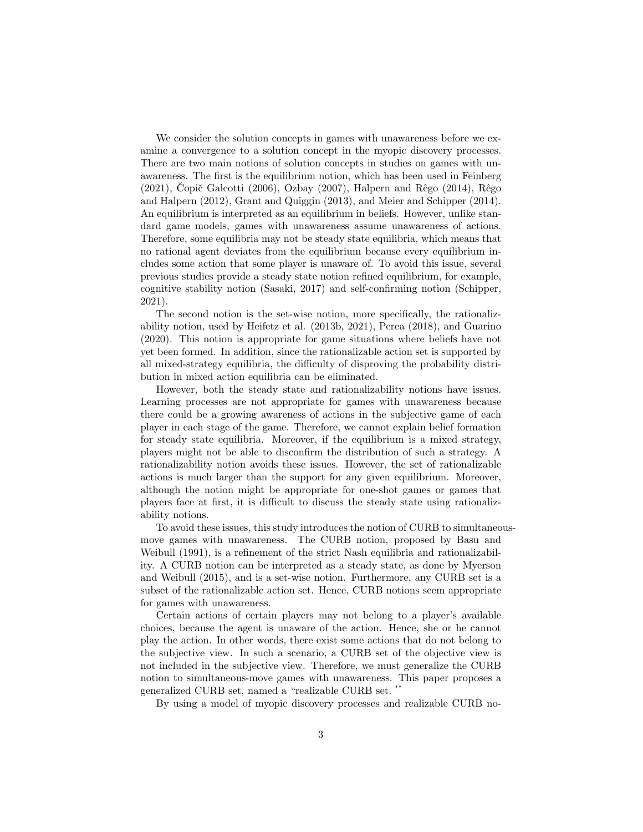We consider the solution concepts in games with unawareness before we examine a convergence to a solution concept in the myopic discovery processes. There are two main notions of solution concepts in studies on games with unawareness. The first is the equilibrium notion, which has been used in Feinberg  $(2021)$ , Copič Galeotti  $(2006)$ , Ozbay  $(2007)$ , Halpern and Rêgo  $(2014)$ , Rêgo and Halpern (2012), Grant and Quiggin (2013), and Meier and Schipper (2014). An equilibrium is interpreted as an equilibrium in beliefs. However, unlike standard game models, games with unawareness assume unawareness of actions. Therefore, some equilibria may not be steady state equilibria, which means that no rational agent deviates from the equilibrium because every equilibrium includes some action that some player is unaware of. To avoid this issue, several previous studies provide a steady state notion refined equilibrium, for example, cognitive stability notion (Sasaki, 2017) and self-confirming notion (Schipper, 2021).

The second notion is the set-wise notion, more specifically, the rationalizability notion, used by Heifetz et al. (2013b, 2021), Perea (2018), and Guarino (2020). This notion is appropriate for game situations where beliefs have not yet been formed. In addition, since the rationalizable action set is supported by all mixed-strategy equilibria, the difficulty of disproving the probability distribution in mixed action equilibria can be eliminated.

However, both the steady state and rationalizability notions have issues. Learning processes are not appropriate for games with unawareness because there could be a growing awareness of actions in the subjective game of each player in each stage of the game. Therefore, we cannot explain belief formation for steady state equilibria. Moreover, if the equilibrium is a mixed strategy, players might not be able to disconfirm the distribution of such a strategy. A rationalizability notion avoids these issues. However, the set of rationalizable actions is much larger than the support for any given equilibrium. Moreover, although the notion might be appropriate for one-shot games or games that players face at first, it is difficult to discuss the steady state using rationalizability notions.

To avoid these issues, this study introduces the notion of CURB to simultaneousmove games with unawareness. The CURB notion, proposed by Basu and Weibull (1991), is a refinement of the strict Nash equilibria and rationalizability. A CURB notion can be interpreted as a steady state, as done by Myerson and Weibull (2015), and is a set-wise notion. Furthermore, any CURB set is a subset of the rationalizable action set. Hence, CURB notions seem appropriate for games with unawareness.

Certain actions of certain players may not belong to a player's available choices, because the agent is unaware of the action. Hence, she or he cannot play the action. In other words, there exist some actions that do not belong to the subjective view. In such a scenario, a CURB set of the objective view is not included in the subjective view. Therefore, we must generalize the CURB notion to simultaneous-move games with unawareness. This paper proposes a generalized CURB set, named a "realizable CURB set. ''

By using a model of myopic discovery processes and realizable CURB no-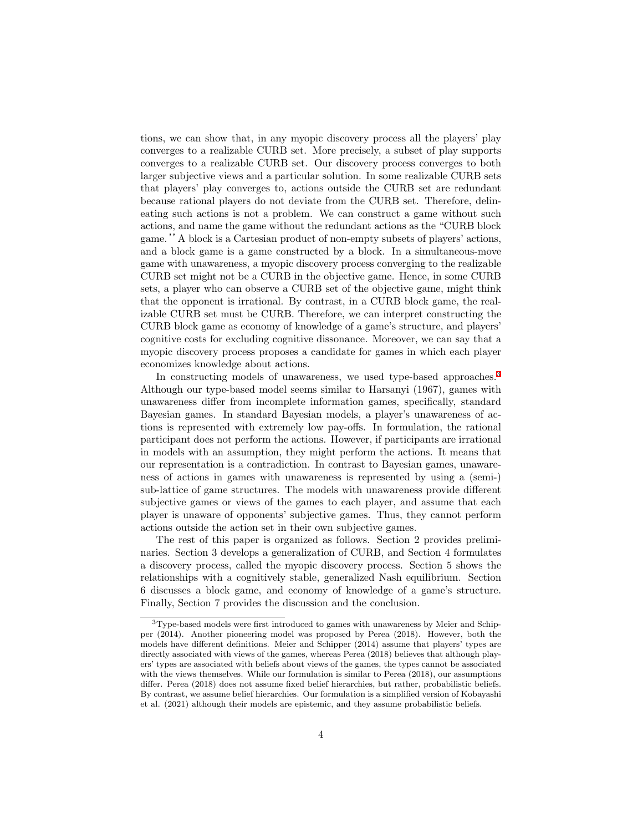tions, we can show that, in any myopic discovery process all the players' play converges to a realizable CURB set. More precisely, a subset of play supports converges to a realizable CURB set. Our discovery process converges to both larger subjective views and a particular solution. In some realizable CURB sets that players' play converges to, actions outside the CURB set are redundant because rational players do not deviate from the CURB set. Therefore, delineating such actions is not a problem. We can construct a game without such actions, and name the game without the redundant actions as the "CURB block game.''A block is a Cartesian product of non-empty subsets of players' actions, and a block game is a game constructed by a block. In a simultaneous-move game with unawareness, a myopic discovery process converging to the realizable CURB set might not be a CURB in the objective game. Hence, in some CURB sets, a player who can observe a CURB set of the objective game, might think that the opponent is irrational. By contrast, in a CURB block game, the realizable CURB set must be CURB. Therefore, we can interpret constructing the CURB block game as economy of knowledge of a game's structure, and players' cognitive costs for excluding cognitive dissonance. Moreover, we can say that a myopic discovery process proposes a candidate for games in which each player economizes knowledge about actions.

In constructing models of unawareness, we used type-based approaches.<sup>[3](#page-4-0)</sup> Although our type-based model seems similar to Harsanyi (1967), games with unawareness differ from incomplete information games, specifically, standard Bayesian games. In standard Bayesian models, a player's unawareness of actions is represented with extremely low pay-offs. In formulation, the rational participant does not perform the actions. However, if participants are irrational in models with an assumption, they might perform the actions. It means that our representation is a contradiction. In contrast to Bayesian games, unawareness of actions in games with unawareness is represented by using a (semi-) sub-lattice of game structures. The models with unawareness provide different subjective games or views of the games to each player, and assume that each player is unaware of opponents' subjective games. Thus, they cannot perform actions outside the action set in their own subjective games.

The rest of this paper is organized as follows. Section 2 provides preliminaries. Section 3 develops a generalization of CURB, and Section 4 formulates a discovery process, called the myopic discovery process. Section 5 shows the relationships with a cognitively stable, generalized Nash equilibrium. Section 6 discusses a block game, and economy of knowledge of a game's structure. Finally, Section 7 provides the discussion and the conclusion.

<span id="page-4-0"></span><sup>3</sup>Type-based models were first introduced to games with unawareness by Meier and Schipper (2014). Another pioneering model was proposed by Perea (2018). However, both the models have different definitions. Meier and Schipper (2014) assume that players' types are directly associated with views of the games, whereas Perea (2018) believes that although players' types are associated with beliefs about views of the games, the types cannot be associated with the views themselves. While our formulation is similar to Perea  $(2018)$ , our assumptions differ. Perea (2018) does not assume fixed belief hierarchies, but rather, probabilistic beliefs. By contrast, we assume belief hierarchies. Our formulation is a simplified version of Kobayashi et al. (2021) although their models are epistemic, and they assume probabilistic beliefs.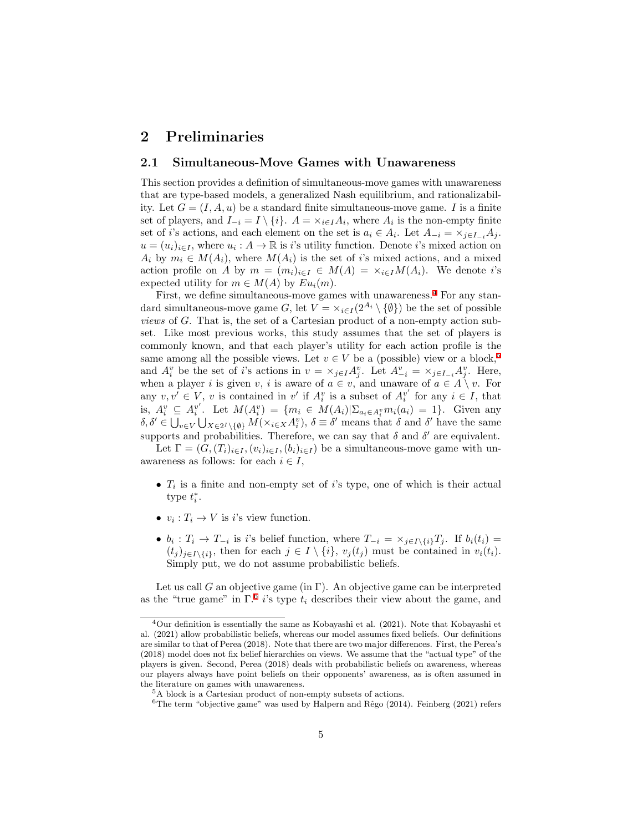## **2 Preliminaries**

### **2.1 Simultaneous-Move Games with Unawareness**

This section provides a definition of simultaneous-move games with unawareness that are type-based models, a generalized Nash equilibrium, and rationalizability. Let  $G = (I, A, u)$  be a standard finite simultaneous-move game. I is a finite set of players, and  $I_{-i} = I \setminus \{i\}$ .  $A = \times_{i \in I} A_i$ , where  $A_i$  is the non-empty finite set of *i*'s actions, and each element on the set is  $a_i \in A_i$ . Let  $A_{-i} = \times_{j \in I_{-i}} A_j$ .  $u = (u_i)_{i \in I}$ , where  $u_i : A \to \mathbb{R}$  is *i*'s utility function. Denote *i*'s mixed action on  $A_i$  by  $m_i \in M(A_i)$ , where  $M(A_i)$  is the set of *i*'s mixed actions, and a mixed action profile on *A* by  $m = (m_i)_{i \in I} \in M(A) = \times_{i \in I} M(A_i)$ . We denote *i*'s expected utility for  $m \in M(A)$  by  $Eu_i(m)$ .

First, we define simultaneous-move games with unawareness.<sup>[4](#page-5-0)</sup> For any standard simultaneous-move game *G*, let  $V = \times_{i \in I} (2^{A_i} \setminus \{\emptyset\})$  be the set of possible *views* of *G*. That is, the set of a Cartesian product of a non-empty action subset. Like most previous works, this study assumes that the set of players is commonly known, and that each player's utility for each action profile is the same among all the possible views. Let  $v \in V$  be a (possible) view or a block,<sup>[5](#page-5-1)</sup> and  $A_i^v$  be the set of *i*'s actions in  $v = \times_{j \in I} A_j^v$ . Let  $A_{-i}^v = \times_{j \in I_{-i}} A_j^v$ . Here, when a player *i* is given *v*, *i* is aware of  $a \in v$ , and unaware of  $a \in A \setminus v$ . For any  $v, v' \in V$ , *v* is contained in *v'* if  $A_i^v$  is a subset of  $A_i^{v'}$  for any  $i \in I$ , that is,  $A_i^v \subseteq A_i^{v'}$ . Let  $M(A_i^v) = \{m_i \in M(A_i)|\sum_{a_i \in A_i^v} m_i(a_i) = 1\}$ . Given any  $\delta, \delta' \in \bigcup_{v \in V} \bigcup_{X \in 2^I \setminus \{\emptyset\}} M(\times_{i \in X} A_i^v), \ \delta \equiv \delta'$  means that  $\delta$  and  $\delta'$  have the same supports and probabilities. Therefore, we can say that  $\delta$  and  $\delta'$  are equivalent.

Let  $\Gamma = (G, (T_i)_{i \in I}, (v_i)_{i \in I}, (b_i)_{i \in I})$  be a simultaneous-move game with unawareness as follows: for each  $i \in I$ ,

- *• T<sup>i</sup>* is a finite and non-empty set of *i*'s type, one of which is their actual type  $t_i^*$ .
- $v_i: T_i \to V$  is *i*'s view function.
- $b_i: T_i \to T_{-i}$  is i's belief function, where  $T_{-i} = \times_{j \in I \setminus \{i\}} T_j$ . If  $b_i(t_i) =$  $(t_j)_{j\in I\setminus\{i\}},$  then for each  $j\in I\setminus\{i\}, v_j(t_j)$  must be contained in  $v_i(t_i)$ . Simply put, we do not assume probabilistic beliefs.

Let us call *G* an objective game (in  $\Gamma$ ). An objective game can be interpreted as the "true game" in  $\Gamma$ <sup>[6](#page-5-2)</sup> *i*'s type  $t_i$  describes their view about the game, and

<span id="page-5-0"></span><sup>4</sup>Our definition is essentially the same as Kobayashi et al. (2021). Note that Kobayashi et al. (2021) allow probabilistic beliefs, whereas our model assumes fixed beliefs. Our definitions are similar to that of Perea (2018). Note that there are two major differences. First, the Perea's (2018) model does not fix belief hierarchies on views. We assume that the "actual type" of the players is given. Second, Perea (2018) deals with probabilistic beliefs on awareness, whereas our players always have point beliefs on their opponents' awareness, as is often assumed in the literature on games with unawareness.

<span id="page-5-1"></span><sup>5</sup>A block is a Cartesian product of non-empty subsets of actions.

<span id="page-5-2"></span> ${}^{6}$ The term "objective game" was used by Halpern and Rêgo (2014). Feinberg (2021) refers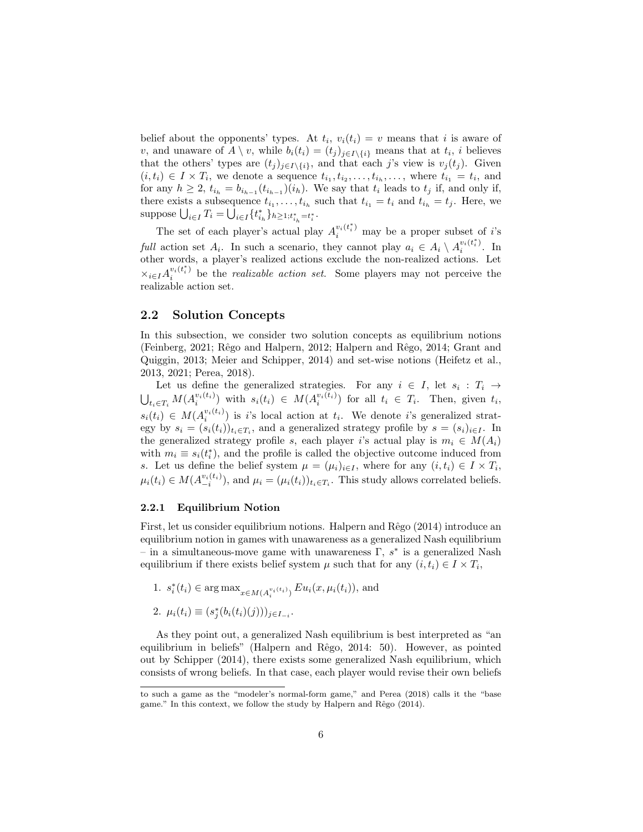belief about the opponents' types. At  $t_i$ ,  $v_i(t_i) = v$  means that *i* is aware of *v*, and unaware of  $A \setminus v$ , while  $b_i(t_i) = (t_j)_{j \in I \setminus \{i\}}$  means that at  $t_i$ , *i* believes that the others' types are  $(t_j)_{j \in I \setminus \{i\}}$ , and that each *j*'s view is  $v_j(t_j)$ . Given  $(i, t_i) \in I \times T_i$ , we denote a sequence  $t_{i_1}, t_{i_2}, \ldots, t_{i_h}, \ldots$ , where  $t_{i_1} = t_i$ , and for any  $h \geq 2$ ,  $t_{i_h} = b_{i_{h-1}}(t_{i_{h-1}})(i_h)$ . We say that  $t_i$  leads to  $t_j$  if, and only if, there exists a subsequence  $t_{i_1}, \ldots, t_{i_h}$  such that  $t_{i_1} = t_i$  and  $t_{i_h} = t_j$ . Here, we suppose  $\bigcup_{i \in I} T_i = \bigcup_{i \in I} \{t_{i_h}^*\}_{h \geq 1; t_{i_h}^* = t_i^*}.$ 

The set of each player's actual play  $A_i^{v_i(t_i^*)}$  may be a proper subset of *i*'s *full* action set  $A_i$ . In such a scenario, they cannot play  $a_i \in A_i \setminus A_i^{v_i(t_i^*)}$  $i^{v_i(\iota_i)}$ . In other words, a player's realized actions exclude the non-realized actions. Let  $\times$ *i*∈*I*</sub> $A_i^{v_i(t_i^*)}$  $\sum_{i}^{v_i(t_i)}$  be the *realizable action set*. Some players may not perceive the realizable action set.

### **2.2 Solution Concepts**

In this subsection, we consider two solution concepts as equilibrium notions (Feinberg, 2021; Rêgo and Halpern, 2012; Halpern and Rêgo, 2014; Grant and Quiggin, 2013; Meier and Schipper, 2014) and set-wise notions (Heifetz et al., 2013, 2021; Perea, 2018).

Let us define the generalized strategies. For any  $i \in I$ , let  $s_i : T_i \to$  $\bigcup_{t_i \in T_i} M(A_i^{v_i(t_i)})$  with  $s_i(t_i) \in M(A_i^{v_i(t_i)})$  for all  $t_i \in T_i$ . Then, given  $t_i$ ,  $s_i(t_i) \in M(A_i^{v_i(t_i)})$  is *i*'s local action at  $t_i$ . We denote *i*'s generalized strategy by  $s_i = (s_i(t_i))_{t_i \in T_i}$ , and a generalized strategy profile by  $s = (s_i)_{i \in I}$ . In the generalized strategy profile *s*, each player *i*'s actual play is  $m_i \in M(A_i)$ with  $m_i \equiv s_i(t_i^*)$ , and the profile is called the objective outcome induced from *s*. Let us define the belief system  $\mu = (\mu_i)_{i \in I}$ , where for any  $(i, t_i) \in I \times T_i$ ,  $\mu_i(t_i) \in M(A_{-i}^{v_i(t_i)}),$  and  $\mu_i = (\mu_i(t_i))_{t_i \in T_i}$ . This study allows correlated beliefs.

### **2.2.1 Equilibrium Notion**

First, let us consider equilibrium notions. Halpern and Rêgo (2014) introduce an equilibrium notion in games with unawareness as a generalized Nash equilibrium – in a simultaneous-move game with unawareness Γ, *s ∗* is a generalized Nash equilibrium if there exists belief system  $\mu$  such that for any  $(i, t_i) \in I \times T_i$ ,

1. 
$$
s_i^*(t_i) \in \arg \max_{x \in M(A_i^{v_i(t_i)})} Eu_i(x, \mu_i(t_i)),
$$
 and

2. 
$$
\mu_i(t_i) \equiv (s_j^*(b_i(t_i)(j)))_{j \in I_{-i}}
$$
.

As they point out, a generalized Nash equilibrium is best interpreted as "an equilibrium in beliefs" (Halpern and Rêgo, 2014: 50). However, as pointed out by Schipper (2014), there exists some generalized Nash equilibrium, which consists of wrong beliefs. In that case, each player would revise their own beliefs

to such a game as the "modeler's normal-form game," and Perea (2018) calls it the "base game." In this context, we follow the study by Halpern and Rêgo (2014).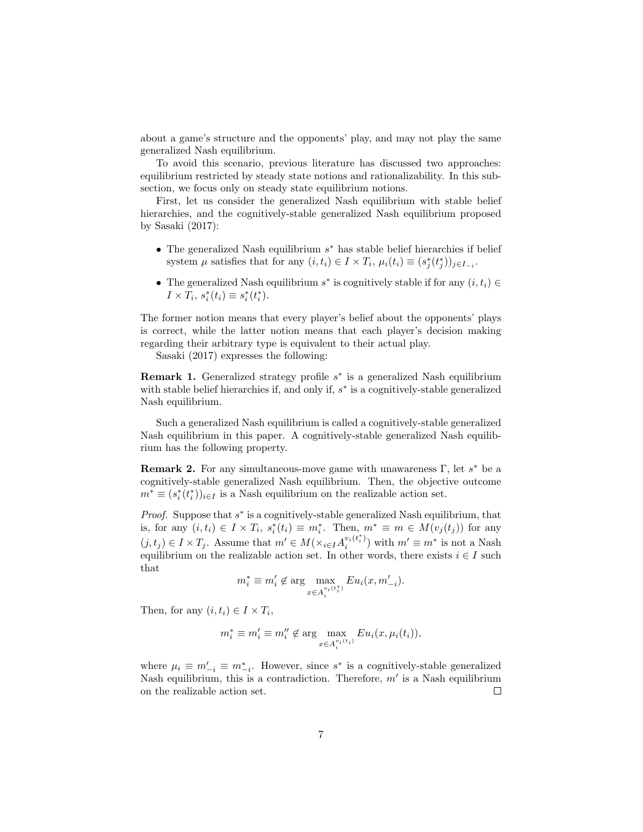about a game's structure and the opponents' play, and may not play the same generalized Nash equilibrium.

To avoid this scenario, previous literature has discussed two approaches: equilibrium restricted by steady state notions and rationalizability. In this subsection, we focus only on steady state equilibrium notions.

First, let us consider the generalized Nash equilibrium with stable belief hierarchies, and the cognitively-stable generalized Nash equilibrium proposed by Sasaki (2017):

- *•* The generalized Nash equilibrium *s <sup>∗</sup>* has stable belief hierarchies if belief system  $\mu$  satisfies that for any  $(i, t_i) \in I \times T_i$ ,  $\mu_i(t_i) \equiv (s_j^*(t_j^*))_{j \in I_{-i}}$ .
- *•* The generalized Nash equilibrium *s ∗* is cognitively stable if for any (*i, ti*) *∈*  $I \times T_i$ ,  $s_i^*(t_i) \equiv s_i^*(t_i^*)$ .

The former notion means that every player's belief about the opponents' plays is correct, while the latter notion means that each player's decision making regarding their arbitrary type is equivalent to their actual play.

Sasaki (2017) expresses the following:

**Remark 1.** Generalized strategy profile  $s^*$  is a generalized Nash equilibrium with stable belief hierarchies if, and only if, *s ∗* is a cognitively-stable generalized Nash equilibrium.

Such a generalized Nash equilibrium is called a cognitively-stable generalized Nash equilibrium in this paper. A cognitively-stable generalized Nash equilibrium has the following property.

<span id="page-7-0"></span>**Remark 2.** For any simultaneous-move game with unawareness Γ, let *s <sup>∗</sup>* be a cognitively-stable generalized Nash equilibrium. Then, the objective outcome  $m^* \equiv (s_i^*(t_i^*))_{i \in I}$  is a Nash equilibrium on the realizable action set.

*Proof.* Suppose that  $s^*$  is a cognitively-stable generalized Nash equilibrium, that is, for any  $(i, t_i) \in I \times T_i$ ,  $s_i^*(t_i) \equiv m_i^*$ . Then,  $m^* \equiv m \in M(v_j(t_j))$  for any  $(f, t_j) \in I \times T_j$ . Assume that  $m' \in M(\times_{i \in I} A_i^{v_i(t_i^*)})$  $\binom{v_i(t_i^r)}{i}$  with  $m' \equiv m^*$  is not a Nash equilibrium on the realizable action set. In other words, there exists  $i \in I$  such that

$$
m_i^* \equiv m_i' \notin \arg\max_{x \in A_i^{v_i(t_i^*)}} Eu_i(x, m_{-i}').
$$

Then, for any  $(i, t_i) \in I \times T_i$ ,

$$
m_i^* \equiv m_i' \equiv m_i'' \notin \arg\max_{x \in A_i^{v_i(t_i)}} Eu_i(x, \mu_i(t_i)),
$$

where  $\mu_i \equiv m'_{-i} \equiv m^*_{-i}$ . However, since  $s^*$  is a cognitively-stable generalized Nash equilibrium, this is a contradiction. Therefore, *m′* is a Nash equilibrium on the realizable action set.  $\Box$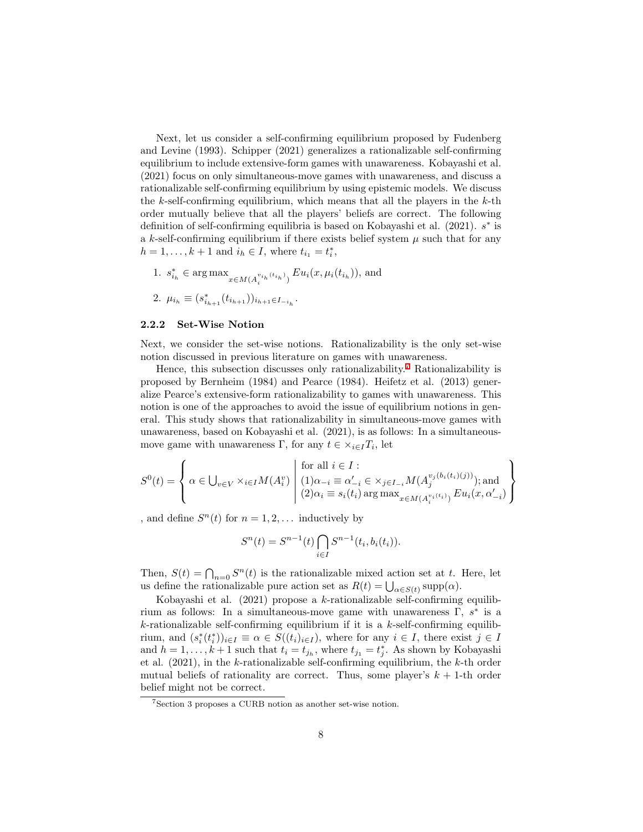Next, let us consider a self-confirming equilibrium proposed by Fudenberg and Levine (1993). Schipper (2021) generalizes a rationalizable self-confirming equilibrium to include extensive-form games with unawareness. Kobayashi et al. (2021) focus on only simultaneous-move games with unawareness, and discuss a rationalizable self-confirming equilibrium by using epistemic models. We discuss the *k*-self-confirming equilibrium, which means that all the players in the *k*-th order mutually believe that all the players' beliefs are correct. The following definition of self-confirming equilibria is based on Kobayashi et al. (2021). *s ∗* is a *k*-self-confirming equilibrium if there exists belief system  $\mu$  such that for any  $h = 1, \ldots, k + 1$  and  $i_h \in I$ , where  $t_{i_1} = t_i^*$ ,

1. 
$$
s_{i_h}^* \in \arg \max_{x \in M(A_i^{v_{i_h}(t_{i_h})})} Eu_i(x, \mu_i(t_{i_h})),
$$
 and  
2.  $\mu_{i_h} \equiv (s_{i_{h+1}}^*(t_{i_{h+1}}))_{i_{h+1} \in I_{-i_h}}.$ 

### **2.2.2 Set-Wise Notion**

Next, we consider the set-wise notions. Rationalizability is the only set-wise notion discussed in previous literature on games with unawareness.

Hence, this subsection discusses only rationalizability.<sup>[7](#page-8-0)</sup> Rationalizability is proposed by Bernheim (1984) and Pearce (1984). Heifetz et al. (2013) generalize Pearce's extensive-form rationalizability to games with unawareness. This notion is one of the approaches to avoid the issue of equilibrium notions in general. This study shows that rationalizability in simultaneous-move games with unawareness, based on Kobayashi et al. (2021), is as follows: In a simultaneousmove game with unawareness  $\Gamma$ , for any  $t \in \times_{i \in I} T_i$ , let

$$
S^{0}(t) = \left\{ \alpha \in \bigcup_{v \in V} \times_{i \in I} M(A_{i}^{v}) \middle| \begin{array}{l} \text{for all } i \in I : \\ (1)\alpha_{-i} \equiv \alpha'_{-i} \in \times_{j \in I_{-i}} M(A_{j}^{v_{j}(b_{i}(t_{i})(j))}); \text{and} \\ (2)\alpha_{i} \equiv s_{i}(t_{i}) \text{ arg max}_{x \in M(A_{i}^{v_{i}(t_{i})})} Eu_{i}(x, \alpha'_{-i}) \end{array} \right\}
$$

, and define  $S<sup>n</sup>(t)$  for  $n = 1, 2, \ldots$  inductively by

$$
S^{n}(t) = S^{n-1}(t) \bigcap_{i \in I} S^{n-1}(t_{i}, b_{i}(t_{i})).
$$

Then,  $S(t) = \bigcap_{n=0} S^n(t)$  is the rationalizable mixed action set at *t*. Here, let us define the rationalizable pure action set as  $R(t) = \bigcup_{\alpha \in S(t)} \text{supp}(\alpha)$ .

Kobayashi et al. (2021) propose a *k*-rationalizable self-confirming equilibrium as follows: In a simultaneous-move game with unawareness Γ, *s ∗* is a *k*-rationalizable self-confirming equilibrium if it is a *k*-self-confirming equilibrium, and  $(s_i^*(t_i^*))_{i\in I} \equiv \alpha \in S((t_i)_{i\in I})$ , where for any  $i \in I$ , there exist  $j \in I$ and  $h = 1, \ldots, k+1$  such that  $t_i = t_{j_h}$ , where  $t_{j_1} = t_j^*$ . As shown by Kobayashi et al. (2021), in the *k*-rationalizable self-confirming equilibrium, the *k*-th order mutual beliefs of rationality are correct. Thus, some player's  $k + 1$ -th order belief might not be correct.

<span id="page-8-0"></span><sup>7</sup>Section 3 proposes a CURB notion as another set-wise notion.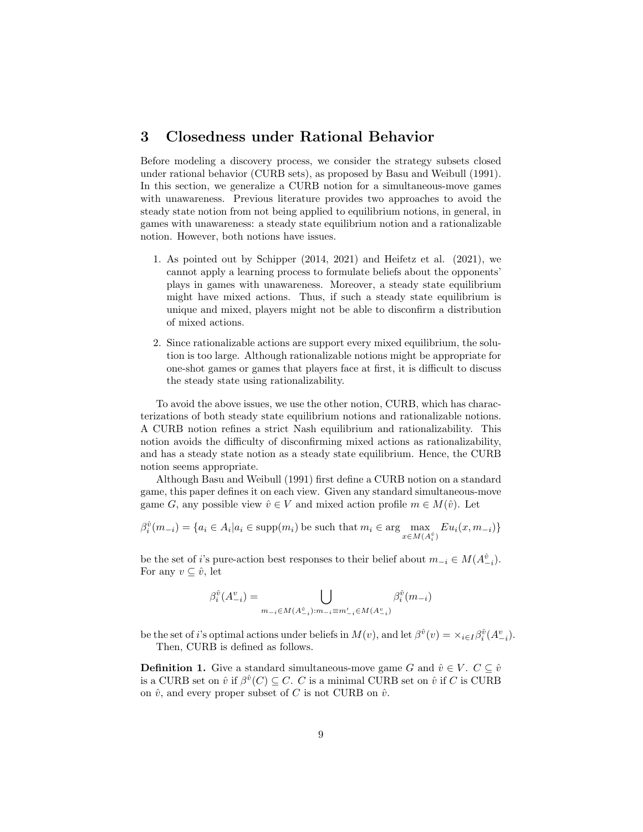### **3 Closedness under Rational Behavior**

Before modeling a discovery process, we consider the strategy subsets closed under rational behavior (CURB sets), as proposed by Basu and Weibull (1991). In this section, we generalize a CURB notion for a simultaneous-move games with unawareness. Previous literature provides two approaches to avoid the steady state notion from not being applied to equilibrium notions, in general, in games with unawareness: a steady state equilibrium notion and a rationalizable notion. However, both notions have issues.

- 1. As pointed out by Schipper (2014, 2021) and Heifetz et al. (2021), we cannot apply a learning process to formulate beliefs about the opponents' plays in games with unawareness. Moreover, a steady state equilibrium might have mixed actions. Thus, if such a steady state equilibrium is unique and mixed, players might not be able to disconfirm a distribution of mixed actions.
- 2. Since rationalizable actions are support every mixed equilibrium, the solution is too large. Although rationalizable notions might be appropriate for one-shot games or games that players face at first, it is difficult to discuss the steady state using rationalizability.

To avoid the above issues, we use the other notion, CURB, which has characterizations of both steady state equilibrium notions and rationalizable notions. A CURB notion refines a strict Nash equilibrium and rationalizability. This notion avoids the difficulty of disconfirming mixed actions as rationalizability, and has a steady state notion as a steady state equilibrium. Hence, the CURB notion seems appropriate.

Although Basu and Weibull (1991) first define a CURB notion on a standard game, this paper defines it on each view. Given any standard simultaneous-move game *G*, any possible view  $\hat{v} \in V$  and mixed action profile  $m \in M(\hat{v})$ . Let

$$
\beta_i^{\hat{v}}(m_{-i}) = \{a_i \in A_i | a_i \in \text{supp}(m_i) \text{ be such that } m_i \in \arg \max_{x \in M(A_i^{\hat{v}})} Eu_i(x, m_{-i})\}
$$

be the set of *i*'s pure-action best responses to their belief about  $m_{-i} \in M(A_{-i}^{\hat{v}})$ . For any  $v \subseteq \hat{v}$ , let

$$
\beta_i^{\hat{v}}(A_{-i}^v) = \bigcup_{m_{-i} \in M(A_{-i}^{\hat{v}}): m_{-i} \equiv m'_{-i} \in M(A_{-i}^v)} \beta_i^{\hat{v}}(m_{-i})
$$

be the set of *i*'s optimal actions under beliefs in  $M(v)$ , and let  $\beta^{\hat{v}}(v) = \times_{i \in I} \beta_i^{\hat{v}}(A_{-i}^v)$ . Then, CURB is defined as follows.

**Definition 1.** Give a standard simultaneous-move game *G* and  $\hat{v} \in V$ .  $C \subseteq \hat{v}$ is a CURB set on  $\hat{v}$  if  $\beta^{\hat{v}}(C) \subseteq C$ . *C* is a minimal CURB set on  $\hat{v}$  if *C* is CURB on  $\hat{v}$ , and every proper subset of *C* is not CURB on  $\hat{v}$ .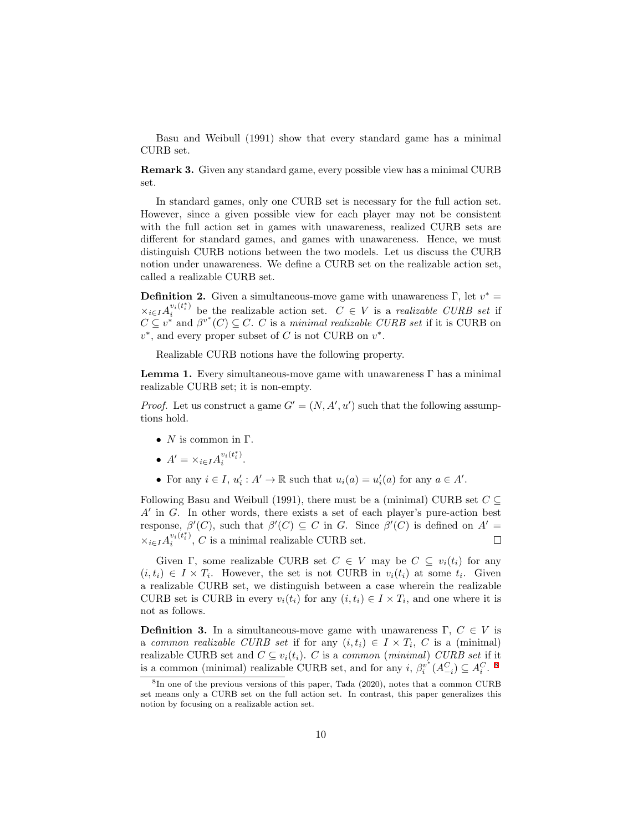Basu and Weibull (1991) show that every standard game has a minimal CURB set.

**Remark 3.** Given any standard game, every possible view has a minimal CURB set.

In standard games, only one CURB set is necessary for the full action set. However, since a given possible view for each player may not be consistent with the full action set in games with unawareness, realized CURB sets are different for standard games, and games with unawareness. Hence, we must distinguish CURB notions between the two models. Let us discuss the CURB notion under unawareness. We define a CURB set on the realizable action set, called a realizable CURB set.

**Definition 2.** Given a simultaneous-move game with unawareness  $\Gamma$ , let  $v^* =$  $\times$ *i*∈*I*</sub> $A_i^{v_i(t_i^*)}$  $\sum_i^{v_i(t_i)}$  be the realizable action set.  $C \in V$  is a *realizable CURB set* if  $C \subseteq v^*$  and  $\beta^{v^*}(C) \subseteq C$ . *C* is a *minimal realizable CURB set* if it is CURB on  $v^*$ , and every proper subset of *C* is not CURB on  $v^*$ .

Realizable CURB notions have the following property.

**Lemma 1.** Every simultaneous-move game with unawareness  $\Gamma$  has a minimal realizable CURB set; it is non-empty.

*Proof.* Let us construct a game  $G' = (N, A', u')$  such that the following assumptions hold.

- *• N* is common in Γ.
- $A' = \times_{i \in I} A_i^{v_i(t_i^*)}$  $\frac{v_i(t_i)}{i}$ .
- For any  $i \in I$ ,  $u'_{i} : A' \to \mathbb{R}$  such that  $u_{i}(a) = u'_{i}(a)$  for any  $a \in A'$ .

Following Basu and Weibull (1991), there must be a (minimal) CURB set  $C \subseteq$ *A′* in *G*. In other words, there exists a set of each player's pure-action best response,  $\beta'(C)$ , such that  $\beta'(C) \subseteq C$  in *G*. Since  $\beta'(C)$  is defined on  $A' =$  $\times$ *i*∈*I*</sub> $A_i^{v_i(t_i^*)}$  $v_i^{(i)}$ , *C* is a minimal realizable CURB set.  $\Box$ 

Given Γ, some realizable CURB set  $C \in V$  may be  $C \subseteq v_i(t_i)$  for any  $(i, t_i) \in I \times T_i$ . However, the set is not CURB in  $v_i(t_i)$  at some  $t_i$ . Given a realizable CURB set, we distinguish between a case wherein the realizable CURB set is CURB in every  $v_i(t_i)$  for any  $(i, t_i) \in I \times T_i$ , and one where it is not as follows.

<span id="page-10-1"></span>**Definition 3.** In a simultaneous-move game with unawareness  $\Gamma$ ,  $C \in V$  is a *common realizable CURB set* if for any  $(i, t_i) \in I \times T_i$ , *C* is a (minimal) realizable CURB set and  $C \subseteq v_i(t_i)$ . *C* is a *common* (*minimal*) *CURB set* if it is a common (minimal) realizable CURB set, and for any  $i$ ,  $\beta_i^{v^*}(A_{-i}^C) \subseteq A_i^C$ . <sup>[8](#page-10-0)</sup>

<span id="page-10-0"></span><sup>8</sup> In one of the previous versions of this paper, Tada (2020), notes that a common CURB set means only a CURB set on the full action set. In contrast, this paper generalizes this notion by focusing on a realizable action set.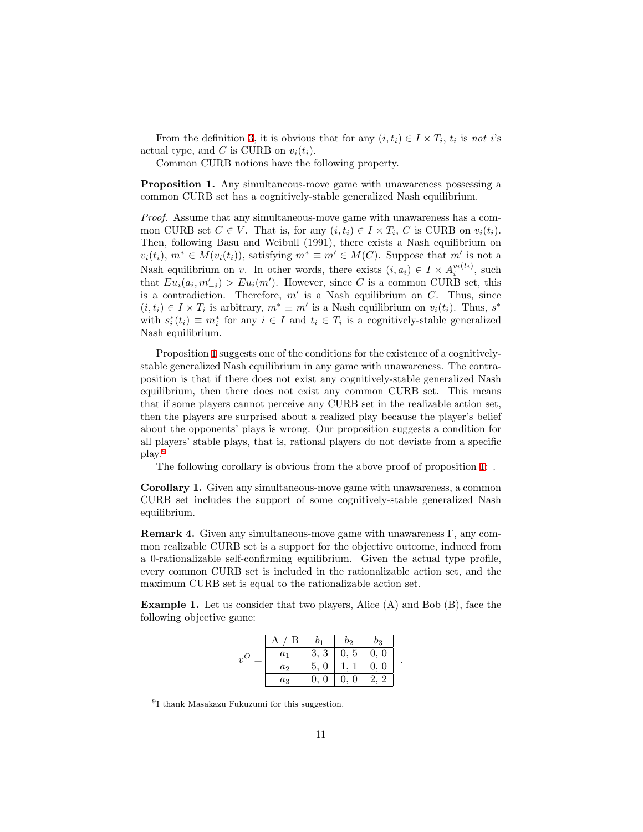From the definition [3,](#page-10-1) it is obvious that for any  $(i, t_i) \in I \times T_i$ ,  $t_i$  is not *i*'s actual type, and *C* is CURB on  $v_i(t_i)$ .

Common CURB notions have the following property.

<span id="page-11-0"></span>**Proposition 1.** Any simultaneous-move game with unawareness possessing a common CURB set has a cognitively-stable generalized Nash equilibrium.

*Proof.* Assume that any simultaneous-move game with unawareness has a common CURB set  $C \in V$ . That is, for any  $(i, t_i) \in I \times T_i$ ,  $C$  is CURB on  $v_i(t_i)$ . Then, following Basu and Weibull (1991), there exists a Nash equilibrium on  $v_i(t_i)$ ,  $m^* \in M(v_i(t_i))$ , satisfying  $m^* \equiv m' \in M(C)$ . Suppose that m' is not a Nash equilibrium on *v*. In other words, there exists  $(i, a_i) \in I \times A_i^{v_i(t_i)}$ , such that  $Eu_i(a_i, m'_{-i}) > Eu_i(m')$ . However, since C is a common CURB set, this is a contradiction. Therefore, *m′* is a Nash equilibrium on *C*. Thus, since  $(i, t_i) \in I \times T_i$  is arbitrary,  $m^* \equiv m'$  is a Nash equilibrium on  $v_i(t_i)$ . Thus,  $s^*$ with  $s_i^*(t_i) \equiv m_i^*$  for any  $i \in I$  and  $t_i \in T_i$  is a cognitively-stable generalized Nash equilibrium.  $\Box$ 

Proposition [1](#page-11-0) suggests one of the conditions for the existence of a cognitivelystable generalized Nash equilibrium in any game with unawareness. The contraposition is that if there does not exist any cognitively-stable generalized Nash equilibrium, then there does not exist any common CURB set. This means that if some players cannot perceive any CURB set in the realizable action set, then the players are surprised about a realized play because the player's belief about the opponents' plays is wrong. Our proposition suggests a condition for all players' stable plays, that is, rational players do not deviate from a specific play.[9](#page-11-1)

The following corollary is obvious from the above proof of proposition [1](#page-11-0): .

<span id="page-11-2"></span>**Corollary 1.** Given any simultaneous-move game with unawareness, a common CURB set includes the support of some cognitively-stable generalized Nash equilibrium.

**Remark 4.** Given any simultaneous-move game with unawareness  $\Gamma$ , any common realizable CURB set is a support for the objective outcome, induced from a 0-rationalizable self-confirming equilibrium. Given the actual type profile, every common CURB set is included in the rationalizable action set, and the maximum CURB set is equal to the rationalizable action set.

**Example 1.** Let us consider that two players, Alice (A) and Bob (B), face the following objective game:

|       | В              |      | 02   | 03 |
|-------|----------------|------|------|----|
| $v^O$ | $a_1$          | 3, 3 | 0, 5 |    |
|       | a <sub>2</sub> | 5, 0 |      |    |
|       | $a_3$          |      |      |    |

*.*

<span id="page-11-1"></span><sup>9</sup> I thank Masakazu Fukuzumi for this suggestion.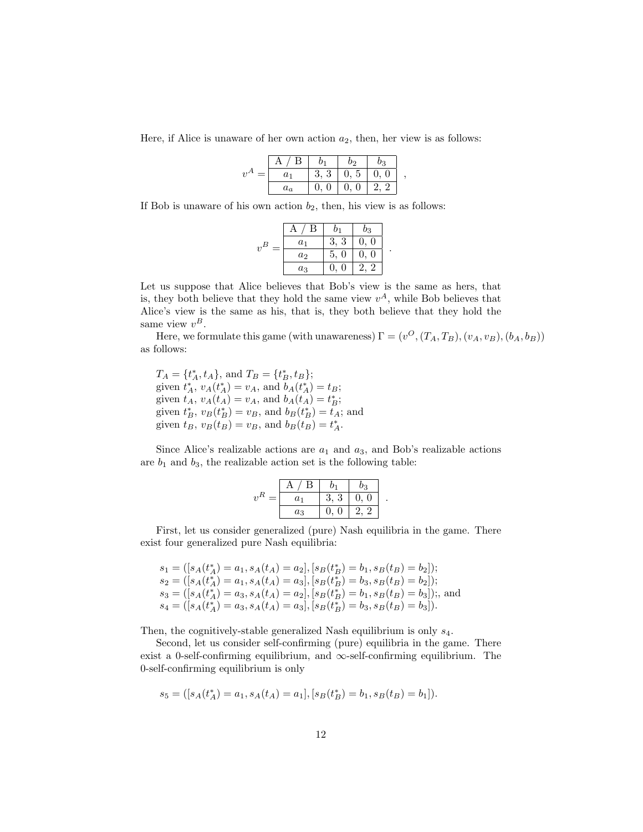Here, if Alice is unaware of her own action  $a_2$ , then, her view is as follows:

|     | $\mathbf{B}$ |      |                       | − و ( ، |  |
|-----|--------------|------|-----------------------|---------|--|
| $=$ |              |      | $3, 3 \mid 0, 5 \mid$ | 0,      |  |
|     |              | 0, 0 | 0, 0                  | ,, ,,   |  |

If Bob is unaware of his own action  $b_2$ , then, his view is as follows:

|                            | B     |          | $b_3$          |
|----------------------------|-------|----------|----------------|
| $\boldsymbol{B}$<br>$\eta$ | $a_1$ | 3, 3     | 0<br>0,        |
|                            | $a_2$ | 5, 0     | 0<br>0,        |
|                            | $a_3$ | $\theta$ | $\overline{2}$ |

Let us suppose that Alice believes that Bob's view is the same as hers, that is, they both believe that they hold the same view  $v^A$ , while Bob believes that Alice's view is the same as his, that is, they both believe that they hold the same view  $v^B$ .

Here, we formulate this game (with unawareness)  $\Gamma = (v^O, (T_A, T_B), (v_A, v_B), (b_A, b_B))$ as follows:

*.*

*.*

 $T_A = \{t_A^*, t_A\}$ , and  $T_B = \{t_B^*, t_B\}$ ; given  $t_A^*$ ,  $v_A(t_A^*) = v_A$ , and  $b_A(t_A^*) = t_B$ ; given  $t_A$ ,  $v_A(t_A) = v_A$ , and  $b_A(t_A) = t_B^*$ ; given  $t_B^*$ ,  $v_B(t_B^*) = v_B$ , and  $b_B(t_B^*) = t_A$ ; and given  $t_B$ ,  $v_B(t_B) = v_B$ , and  $b_B(t_B) = t_A^*$ .

Since Alice's realizable actions are  $a_1$  and  $a_3$ , and Bob's realizable actions are  $b_1$  and  $b_3$ , the realizable action set is the following table:

|       | B<br>A |                 | DЗ      |  |
|-------|--------|-----------------|---------|--|
| $v^R$ | $a_1$  | 3, 3            | 0, 0    |  |
|       | $a_3$  | $\theta$ .<br>0 | $\cdot$ |  |

First, let us consider generalized (pure) Nash equilibria in the game. There exist four generalized pure Nash equilibria:

 $s_1 = ([s_A(t_A^*) = a_1, s_A(t_A) = a_2], [s_B(t_B^*) = b_1, s_B(t_B) = b_2]);$  $s_2 = ([s_A(t_A^*) = a_1, s_A(t_A) = a_3], [s_B(t_B^*) = b_3, s_B(t_B) = b_2]);$  $s_3 = ([s_A(t_A^*) = a_3, s_A(t_A) = a_2], [s_B(t_B^*) = b_1, s_B(t_B) = b_3]);$ , and  $s_4 = ([s_A(t_A^*) = a_3, s_A(t_A) = a_3], [s_B(t_B^*) = b_3, s_B(t_B) = b_3]).$ 

Then, the cognitively-stable generalized Nash equilibrium is only *s*4.

Second, let us consider self-confirming (pure) equilibria in the game. There exist a 0-self-confirming equilibrium, and *∞*-self-confirming equilibrium. The 0-self-confirming equilibrium is only

$$
s_5 = ([s_A(t_A^*) = a_1, s_A(t_A) = a_1], [s_B(t_B^*) = b_1, s_B(t_B) = b_1]).
$$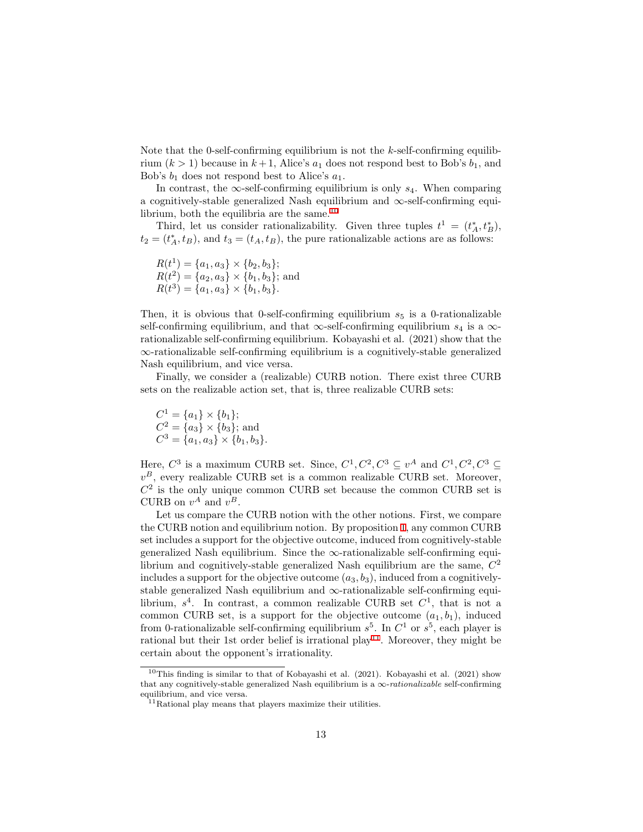Note that the 0-self-confirming equilibrium is not the *k*-self-confirming equilibrium  $(k > 1)$  because in  $k+1$ , Alice's  $a_1$  does not respond best to Bob's  $b_1$ , and Bob's *b*<sup>1</sup> does not respond best to Alice's *a*1.

In contrast, the  $\infty$ -self-confirming equilibrium is only  $s_4$ . When comparing a cognitively-stable generalized Nash equilibrium and *∞*-self-confirming equilibrium, both the equilibria are the same. $^{10}$  $^{10}$  $^{10}$ 

Third, let us consider rationalizability. Given three tuples  $t^1 = (t^*_A, t^*_B)$ ,  $t_2 = (t_A^*, t_B)$ , and  $t_3 = (t_A, t_B)$ , the pure rationalizable actions are as follows:

$$
R(t1) = {a1, a3} \times {b2, b3};
$$
  
\n
$$
R(t2) = {a2, a3} \times {b1, b3};
$$
and  
\n
$$
R(t3) = {a1, a3} \times {b1, b3}.
$$

Then, it is obvious that 0-self-confirming equilibrium  $s<sub>5</sub>$  is a 0-rationalizable self-confirming equilibrium, and that *∞*-self-confirming equilibrium *s*<sup>4</sup> is a *∞* rationalizable self-confirming equilibrium. Kobayashi et al. (2021) show that the *∞*-rationalizable self-confirming equilibrium is a cognitively-stable generalized Nash equilibrium, and vice versa.

Finally, we consider a (realizable) CURB notion. There exist three CURB sets on the realizable action set, that is, three realizable CURB sets:

$$
C1 = {a1} × {b1};C2 = {a3} × {b3}; andC3 = {a1, a3} × {b1, b3}.
$$

Here,  $C^3$  is a maximum CURB set. Since,  $C^1$ ,  $C^2$ ,  $C^3 \subseteq v^A$  and  $C^1$ ,  $C^2$ ,  $C^3 \subseteq$  $v^B$ , every realizable CURB set is a common realizable CURB set. Moreover,  $C<sup>2</sup>$  is the only unique common CURB set because the common CURB set is CURB on  $v^A$  and  $v^B$ .

Let us compare the CURB notion with the other notions. First, we compare the CURB notion and equilibrium notion. By proposition [1,](#page-11-2) any common CURB set includes a support for the objective outcome, induced from cognitively-stable generalized Nash equilibrium. Since the *∞*-rationalizable self-confirming equilibrium and cognitively-stable generalized Nash equilibrium are the same, *C* 2 includes a support for the objective outcome  $(a_3, b_3)$ , induced from a cognitivelystable generalized Nash equilibrium and *∞*-rationalizable self-confirming equilibrium,  $s^4$ . In contrast, a common realizable CURB set  $C^1$ , that is not a common CURB set, is a support for the objective outcome  $(a_1, b_1)$ , induced from 0-rationalizable self-confirming equilibrium  $s^5$ . In  $C^1$  or  $s^5$ , each player is rational but their 1st order belief is irrational  $play<sup>11</sup>$  $play<sup>11</sup>$  $play<sup>11</sup>$ . Moreover, they might be certain about the opponent's irrationality.

<span id="page-13-0"></span> $10$ This finding is similar to that of Kobayashi et al. (2021). Kobayashi et al. (2021) show that any cognitively-stable generalized Nash equilibrium is a *∞*-*rationalizable* self-confirming equilibrium, and vice versa.

<span id="page-13-1"></span><sup>&</sup>lt;sup>11</sup>Rational play means that players maximize their utilities.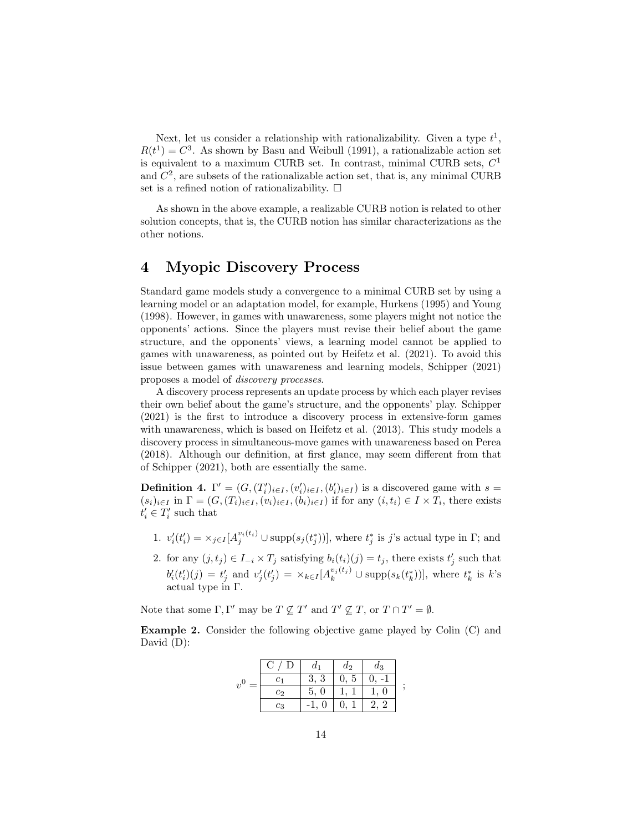Next, let us consider a relationship with rationalizability. Given a type  $t^1$ ,  $R(t^1) = C^3$ . As shown by Basu and Weibull (1991), a rationalizable action set is equivalent to a maximum CURB set. In contrast, minimal CURB sets, *C* 1 and  $C<sup>2</sup>$ , are subsets of the rationalizable action set, that is, any minimal CURB set is a refined notion of rationalizability.  $\square$ 

As shown in the above example, a realizable CURB notion is related to other solution concepts, that is, the CURB notion has similar characterizations as the other notions.

## **4 Myopic Discovery Process**

Standard game models study a convergence to a minimal CURB set by using a learning model or an adaptation model, for example, Hurkens (1995) and Young (1998). However, in games with unawareness, some players might not notice the opponents' actions. Since the players must revise their belief about the game structure, and the opponents' views, a learning model cannot be applied to games with unawareness, as pointed out by Heifetz et al. (2021). To avoid this issue between games with unawareness and learning models, Schipper (2021) proposes a model of *discovery processes*.

A discovery process represents an update process by which each player revises their own belief about the game's structure, and the opponents' play. Schipper (2021) is the first to introduce a discovery process in extensive-form games with unawareness, which is based on Heifetz et al. (2013). This study models a discovery process in simultaneous-move games with unawareness based on Perea (2018). Although our definition, at first glance, may seem different from that of Schipper (2021), both are essentially the same.

<span id="page-14-0"></span>**Definition 4.**  $\Gamma' = (G, (T'_i)_{i \in I}, (v'_i)_{i \in I}, (b'_i)_{i \in I})$  is a discovered game with  $s =$  $(s_i)_{i\in I}$  in  $\Gamma = (G, (T_i)_{i\in I}, (v_i)_{i\in I}, (b_i)_{i\in I})$  if for any  $(i, t_i) \in I \times T_i$ , there exists  $t'_{i} \in T'_{i}$  such that

- 1.  $v'_i(t'_i) = \times_{j \in I} [A_j^{v_i(t_i)} \cup \text{supp}(s_j(t_j^*))]$ , where  $t_j^*$  is j's actual type in  $\Gamma$ ; and
- 2. for any  $(j, t_j) \in I_{-i} \times T_j$  satisfying  $b_i(t_i)(j) = t_j$ , there exists  $t'_j$  such that  $b'_{i}(t'_{i})(j) = t'_{j}$  and  $v'_{j}(t'_{j}) = \times_{k \in I}[A_{k}^{v_{j}(t_{j})} \cup \text{supp}(s_{k}(t_{k}^{*}))],$  where  $t_{k}^{*}$  is k's actual type in Γ.

Note that some  $\Gamma, \Gamma'$  may be  $T \nsubseteq T'$  and  $T' \nsubseteq T$ , or  $T \cap T' = \emptyset$ .

<span id="page-14-1"></span>**Example 2.** Consider the following objective game played by Colin (C) and David (D):

| C / D              | $a_1$      | $d_2$ | $l_2$   |  |
|--------------------|------------|-------|---------|--|
|                    | 3, 3       | 0, 5  |         |  |
| Cэ                 | 5, 0       |       |         |  |
| $\scriptstyle c_3$ | $-1.$<br>U |       | $\cdot$ |  |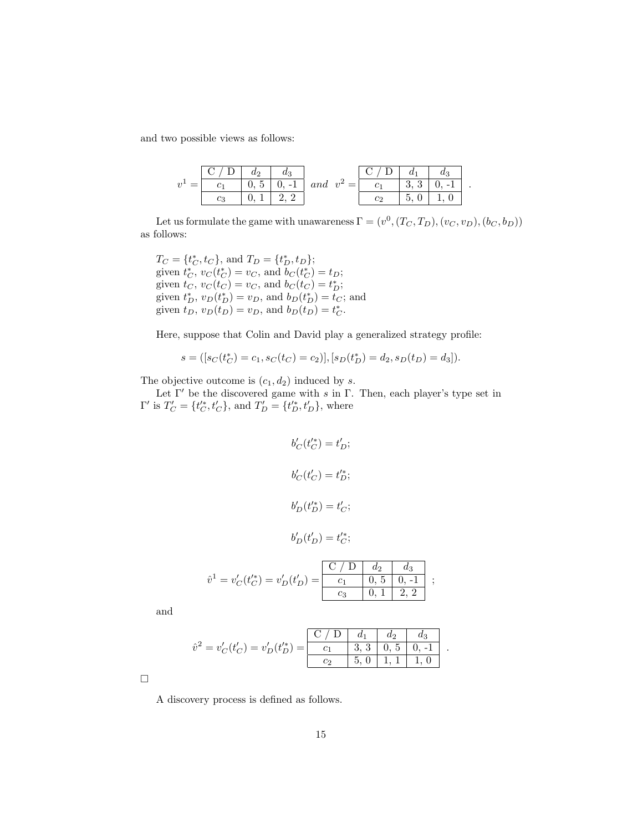and two possible views as follows:

| $C/D \mid d_2 \mid d_3$ |  |                                                                                              | $C/D \mid d_1 \mid d_3$ |     |        |  |
|-------------------------|--|----------------------------------------------------------------------------------------------|-------------------------|-----|--------|--|
|                         |  | $\begin{bmatrix} 0, 5 \end{bmatrix}$ 0, -1 and $v^2 = \begin{bmatrix} 0, 0, 0 \end{bmatrix}$ | $c_1$   3, 3   0,       |     | $-1$ + |  |
| Cэ                      |  |                                                                                              |                         | 5,0 |        |  |

Let us formulate the game with unawareness  $\Gamma = (v^0, (T_C, T_D), (v_C, v_D), (b_C, b_D))$ as follows:

 $T_C = \{t_C^*, t_C\}$ , and  $T_D = \{t_D^*, t_D\}$ ; given  $t_C^*$ ,  $v_C(t_C^*) = v_C$ , and  $b_C(t_C^*) = t_D$ ; given  $t_C$ ,  $v_C(t_C) = v_C$ , and  $b_C(t_C) = t_D^*$ ; given  $t_D^*$ ,  $v_D(t_D^*) = v_D$ , and  $b_D(t_D^*) = t_C$ ; and given  $t_D$ ,  $v_D(t_D) = v_D$ , and  $b_D(t_D) = t_C^*$ .

Here, suppose that Colin and David play a generalized strategy profile:

$$
s = ([s_C(t_C^*) = c_1, s_C(t_C) = c_2)], [s_D(t_D^*) = d_2, s_D(t_D) = d_3]).
$$

The objective outcome is  $(c_1, d_2)$  induced by *s*.

Let Γ*′* be the discovered game with *s* in Γ. Then, each player's type set in  $\Gamma'$  is  $T'_{C} = \{t'_{C}, t'_{C}\},$  and  $T'_{D} = \{t'_{D}, t'_{D}\},$  where

$$
b'_C(t'^*_C) = t'_D;
$$
  

$$
b'_C(t'_C) = t'^*_D;
$$
  

$$
b'_D(t'^*_D) = t'_C;
$$
  

$$
b'_D(t'_D) = t'^*_C;
$$

$$
\hat{v}^1 = v'_C(t'^*_C) = v'_D(t'_D) = \begin{array}{|c|c|c|c|c|} \hline C & D & d_2 & d_3 \\ \hline c_1 & 0, 5 & 0, -1 \\ \hline c_3 & 0, 1 & 2, 2 \end{array};
$$

and

$$
\hat{v}^2 = v'_C(t'_C) = v'_D(t'_D) = \frac{\begin{array}{|c|c|c|c|c|} \hline C & D & d_1 & d_2 & d_3 \\ \hline c_1 & 3,3 & 0,5 & 0,-1 \\ \hline c_2 & 5,0 & 1,1 & 1,0 \end{array}}{\begin{array}{|c|c|c|c|c|} \hline \end{array}}.
$$

□

A discovery process is defined as follows.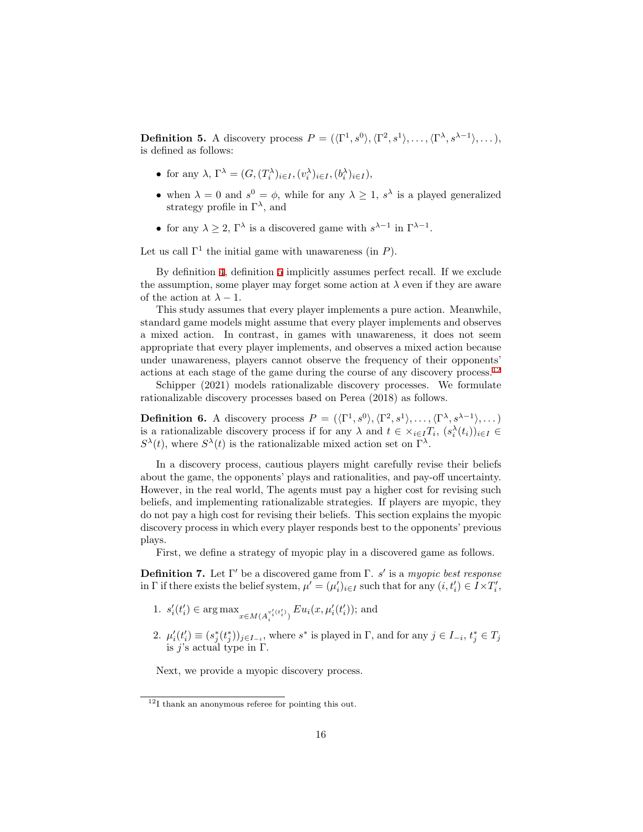<span id="page-16-0"></span>**Definition 5.** A discovery process  $P = (\langle \Gamma^1, s^0 \rangle, \langle \Gamma^2, s^1 \rangle, \dots, \langle \Gamma^{\lambda}, s^{\lambda-1} \rangle, \dots)$ , is defined as follows:

- for any  $\lambda$ ,  $\Gamma^{\lambda} = (G, (T_i^{\lambda})_{i \in I}, (v_i^{\lambda})_{i \in I}, (b_i^{\lambda})_{i \in I}),$
- when  $\lambda = 0$  and  $s^0 = \phi$ , while for any  $\lambda \geq 1$ ,  $s^{\lambda}$  is a played generalized strategy profile in Γ*<sup>λ</sup>* , and
- for any  $\lambda \geq 2$ ,  $\Gamma^{\lambda}$  is a discovered game with  $s^{\lambda-1}$  in  $\Gamma^{\lambda-1}$ .

Let us call  $\Gamma^1$  the initial game with unawareness (in *P*).

By definition [4,](#page-14-0) definition [5](#page-16-0) implicitly assumes perfect recall. If we exclude the assumption, some player may forget some action at  $\lambda$  even if they are aware of the action at  $\lambda - 1$ .

This study assumes that every player implements a pure action. Meanwhile, standard game models might assume that every player implements and observes a mixed action. In contrast, in games with unawareness, it does not seem appropriate that every player implements, and observes a mixed action because under unawareness, players cannot observe the frequency of their opponents' actions at each stage of the game during the course of any discovery process.[12](#page-16-1)

Schipper (2021) models rationalizable discovery processes. We formulate rationalizable discovery processes based on Perea (2018) as follows.

**Definition 6.** A discovery process  $P = (\langle \Gamma^1, s^0 \rangle, \langle \Gamma^2, s^1 \rangle, \dots, \langle \Gamma^{\lambda}, s^{\lambda-1} \rangle, \dots)$ is a rationalizable discovery process if for any  $\lambda$  and  $t \in \times_{i \in I} T_i$ ,  $(s_i^{\lambda}(t_i))_{i \in I} \in$  $S^{\lambda}(t)$ , where  $S^{\lambda}(t)$  is the rationalizable mixed action set on  $\Gamma^{\lambda}$ .

In a discovery process, cautious players might carefully revise their beliefs about the game, the opponents' plays and rationalities, and pay-off uncertainty. However, in the real world, The agents must pay a higher cost for revising such beliefs, and implementing rationalizable strategies. If players are myopic, they do not pay a high cost for revising their beliefs. This section explains the myopic discovery process in which every player responds best to the opponents' previous plays.

First, we define a strategy of myopic play in a discovered game as follows.

**Definition 7.** Let Γ*′* be a discovered game from Γ. *s ′* is a *myopic best response* in  $\Gamma$  if there exists the belief system,  $\mu' = (\mu'_i)_{i \in I}$  such that for any  $(i, t'_i) \in I \times T'_i$ ,

- 1.  $s'_{i}(t'_{i}) \in \arg \max_{x \in M(A_{i}^{v'_{i}(t'_{i})})} Eu_{i}(x, \mu'_{i}(t'_{i}))$ ; and
- 2.  $\mu'_i(t'_i) \equiv (s_j^*(t_j^*))_{j \in I_{-i}}$ , where  $s^*$  is played in  $\Gamma$ , and for any  $j \in I_{-i}, t_j^* \in T_j$ is *j*'s actual type in  $\Gamma$ .

Next, we provide a myopic discovery process.

<span id="page-16-1"></span><sup>12</sup>I thank an anonymous referee for pointing this out.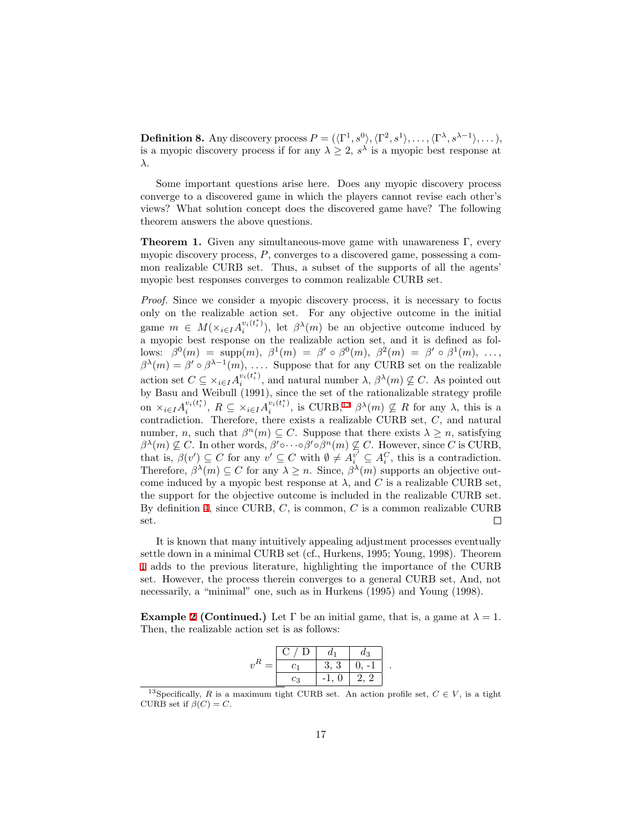**Definition 8.** Any discovery process  $P = (\langle \Gamma^1, s^0 \rangle, \langle \Gamma^2, s^1 \rangle, \dots, \langle \Gamma^{\lambda}, s^{\lambda-1} \rangle, \dots)$ , is a myopic discovery process if for any  $\lambda \geq 2$ ,  $s^{\lambda}$  is a myopic best response at *λ*.

Some important questions arise here. Does any myopic discovery process converge to a discovered game in which the players cannot revise each other's views? What solution concept does the discovered game have? The following theorem answers the above questions.

<span id="page-17-1"></span>**Theorem 1.** Given any simultaneous-move game with unawareness Γ, every myopic discovery process, *P*, converges to a discovered game, possessing a common realizable CURB set. Thus, a subset of the supports of all the agents' myopic best responses converges to common realizable CURB set.

*Proof.* Since we consider a myopic discovery process, it is necessary to focus only on the realizable action set. For any objective outcome in the initial game  $m \in M(\times_{i \in I} A_i^{v_i(t_i^*)})$  $\binom{v_i(t_i)}{i}$ , let  $\beta^{\lambda}(m)$  be an objective outcome induced by a myopic best response on the realizable action set, and it is defined as follows:  $β^0(m) = \text{supp}(m), β^1(m) = β' ∘ β^0(m), β^2(m) = β' ∘ β^1(m), ...,$  $\beta^{\lambda}(m) = \beta' \circ \beta^{\lambda-1}(m), \ldots$  Suppose that for any CURB set on the realizable action set  $C \subseteq \times_{i \in I} A_i^{v_i(t_i^*)}$  $\mathcal{L}_i^{v_i(t_i^+)}$ , and natural number  $\lambda$ ,  $\beta^{\lambda}(m) \nsubseteq C$ . As pointed out by Basu and Weibull (1991), since the set of the rationalizable strategy profile on  $\times_{i \in I} A_i^{v_i(t_i^*)}$  $\sum_{i}^{v_i(t_i^*)}$ ,  $R \subseteq \times_{i \in I} A_i^{v_i(t_i^*)}$  $\beta_i^{v_i(t_i^*)}$ , is CURB,<sup>[13](#page-17-0)</sup>  $\beta^{\lambda}(m) \nsubseteq R$  for any  $\lambda$ , this is a contradiction. Therefore, there exists a realizable CURB set, *C*, and natural number, *n*, such that  $\beta^{n}(m) \subseteq C$ . Suppose that there exists  $\lambda \geq n$ , satisfying  $\beta^{\lambda}(m) \nsubseteq C$ . In other words,  $\beta' \circ \cdots \circ \beta' \circ \beta^{n}(m) \nsubseteq C$ . However, since *C* is CURB, that is,  $\beta(v') \subseteq C$  for any  $v' \subseteq C$  with  $\emptyset \neq A_i^{v'} \subseteq A_i^C$ , this is a contradiction. Therefore,  $\beta^{\lambda}(m) \subseteq C$  for any  $\lambda \geq n$ . Since,  $\beta^{\lambda}(m)$  supports an objective outcome induced by a myopic best response at  $\lambda$ , and C is a realizable CURB set, the support for the objective outcome is included in the realizable CURB set. By definition [4](#page-14-0), since CURB, *C*, is common, *C* is a common realizable CURB set.  $\Box$ 

It is known that many intuitively appealing adjustment processes eventually settle down in a minimal CURB set (cf., Hurkens, 1995; Young, 1998). Theorem [1](#page-17-1) adds to the previous literature, highlighting the importance of the CURB set. However, the process therein converges to a general CURB set, And, not necessarily, a "minimal" one, such as in Hurkens (1995) and Young (1998).

**Example [2](#page-14-1)** (Continued.) Let  $\Gamma$  be an initial game, that is, a game at  $\lambda = 1$ . Then, the realizable action set is as follows:

| -1)   |      | aз |
|-------|------|----|
| C1    | 3, 3 |    |
| $c_3$ |      |    |

*.*

<span id="page-17-0"></span><sup>&</sup>lt;sup>13</sup>Specifically, *R* is a maximum tight CURB set. An action profile set,  $C \in V$ , is a tight CURB set if  $\beta(C) = C$ .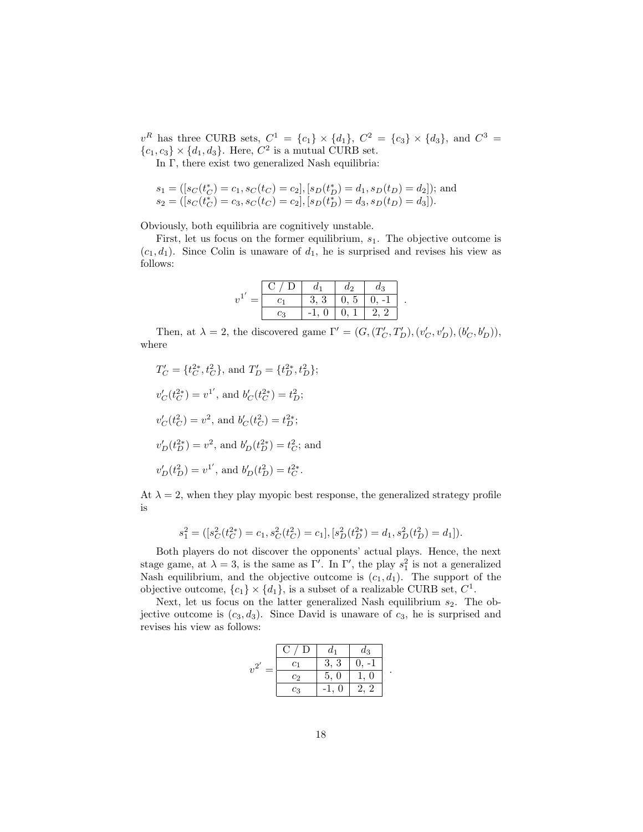$v^R$  has three CURB sets,  $C^1 = \{c_1\} \times \{d_1\}$ ,  $C^2 = \{c_3\} \times \{d_3\}$ , and  $C^3 =$  ${c_1, c_3} \times {d_1, d_3}$ . Here,  $C^2$  is a mutual CURB set.

In Γ, there exist two generalized Nash equilibria:

$$
s_1 = ([s_C(t_C^*) = c_1, s_C(t_C) = c_2], [s_D(t_D^*) = d_1, s_D(t_D) = d_2]);
$$
 and  

$$
s_2 = ([s_C(t_C^*) = c_3, s_C(t_C) = c_2], [s_D(t_D^*) = d_3, s_D(t_D) = d_3]).
$$

Obviously, both equilibria are cognitively unstable.

First, let us focus on the former equilibrium,  $s<sub>1</sub>$ . The objective outcome is  $(c_1, d_1)$ . Since Colin is unaware of  $d_1$ , he is surprised and revises his view as follows:

| $C \neq D$ |     |      |    |                      |
|------------|-----|------|----|----------------------|
|            | 3.3 | 0, 5 |    | $\ddot{\phantom{0}}$ |
|            |     | 0.1  | ٠, |                      |

Then, at  $\lambda = 2$ , the discovered game  $\Gamma' = (G, (T'_C, T'_D), (v'_C, v'_D), (b'_C, b'_D)),$ where

$$
T'_C = \{t_C^{2*}, t_C^{2}\}, \text{ and } T'_D = \{t_D^{2*}, t_D^{2}\};
$$
  

$$
v'_C(t_C^{2*}) = v^{1'}, \text{ and } b'_C(t_C^{2*}) = t_D^{2};
$$
  

$$
v'_C(t_C^{2}) = v^2, \text{ and } b'_C(t_C^{2}) = t_D^{2*};
$$
  

$$
v'_D(t_D^{2*}) = v^2, \text{ and } b'_D(t_D^{2*}) = t_C^{2*};
$$
 and  

$$
v'_D(t_D^{2}) = v^{1'}, \text{ and } b'_D(t_D^{2}) = t_C^{2*}.
$$

At  $\lambda = 2$ , when they play myopic best response, the generalized strategy profile is

$$
s_1^2 = ([s_C^2(t_C^{2*}) = c_1, s_C^2(t_C^2) = c_1], [s_D^2(t_D^{2*}) = d_1, s_D^2(t_D^2) = d_1]).
$$

Both players do not discover the opponents' actual plays. Hence, the next stage game, at  $\lambda = 3$ , is the same as Γ'. In Γ', the play  $s_1^2$  is not a generalized Nash equilibrium, and the objective outcome is  $(c_1, d_1)$ . The support of the objective outcome,  ${c_1} \times {d_1}$ , is a subset of a realizable CURB set,  $C^1$ .

Next, let us focus on the latter generalized Nash equilibrium  $s_2$ . The objective outcome is  $(c_3, d_3)$ . Since David is unaware of  $c_3$ , he is surprised and revises his view as follows:

|       | U.<br>D | $a_1$ | $d_3$    |
|-------|---------|-------|----------|
| $v^2$ | $_{c}$  | 3, 3  |          |
|       | $c_2$   | 5, 0  |          |
|       | $c_3$   |       | $\Omega$ |

*.*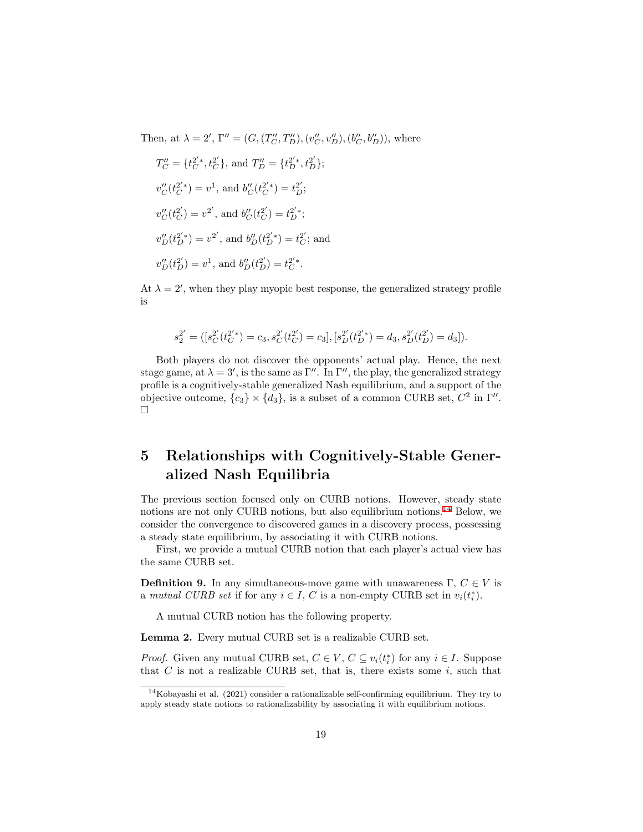Then, at  $\lambda = 2'$ ,  $\Gamma'' = (G, (T''_C, T''_D), (v''_C, v''_D), (b''_C, b''_D))$ , where

$$
T''_C = \{t^{2'*}_C, t^{2'}_C\}, \text{ and } T''_D = \{t^{2'*}_D, t^{2'}_D\};
$$
  

$$
v''_C(t^{2'*}_C) = v^1, \text{ and } b''_C(t^{2'*}_C) = t^{2'}_D;
$$
  

$$
v''_C(t^{2'}_C) = v^{2'}, \text{ and } b''_C(t^{2'}_C) = t^{2'*}_D;
$$
  

$$
v''_D(t^{2'*}_D) = v^{2'}, \text{ and } b''_D(t^{2'*}_D) = t^{2'}_C;
$$
 and  

$$
v''_D(t^{2'}_D) = v^1, \text{ and } b''_D(t^{2'}_D) = t^{2'*}_C.
$$

At  $\lambda = 2'$ , when they play myopic best response, the generalized strategy profile is

$$
s_2^{2'} = ([s_C^{2'} (t_C^{2'*}) = c_3, s_C^{2'} (t_C^{2'}) = c_3], [s_D^{2'} (t_D^{2'*}) = d_3, s_D^{2'} (t_D^{2'}) = d_3]).
$$

Both players do not discover the opponents' actual play. Hence, the next stage game, at  $\lambda = 3'$ , is the same as  $\Gamma''$ . In  $\Gamma''$ , the play, the generalized strategy profile is a cognitively-stable generalized Nash equilibrium, and a support of the objective outcome,  ${c_3} \times {d_3}$ , is a subset of a common CURB set,  $C^2$  in  $\Gamma''$ . □

## **5 Relationships with Cognitively-Stable Generalized Nash Equilibria**

The previous section focused only on CURB notions. However, steady state notions are not only CURB notions, but also equilibrium notions.[14](#page-19-0) Below, we consider the convergence to discovered games in a discovery process, possessing a steady state equilibrium, by associating it with CURB notions.

First, we provide a mutual CURB notion that each player's actual view has the same CURB set.

**Definition 9.** In any simultaneous-move game with unawareness  $\Gamma, C \in V$  is a *mutual CURB set* if for any  $i \in I$ , *C* is a non-empty CURB set in  $v_i(t_i^*)$ .

A mutual CURB notion has the following property.

<span id="page-19-1"></span>**Lemma 2.** Every mutual CURB set is a realizable CURB set.

*Proof.* Given any mutual CURB set,  $C \in V$ ,  $C \subseteq v_i(t_i^*)$  for any  $i \in I$ . Suppose that  $C$  is not a realizable CURB set, that is, there exists some  $i$ , such that

<span id="page-19-0"></span><sup>&</sup>lt;sup>14</sup>Kobayashi et al. (2021) consider a rationalizable self-confirming equilibrium. They try to apply steady state notions to rationalizability by associating it with equilibrium notions.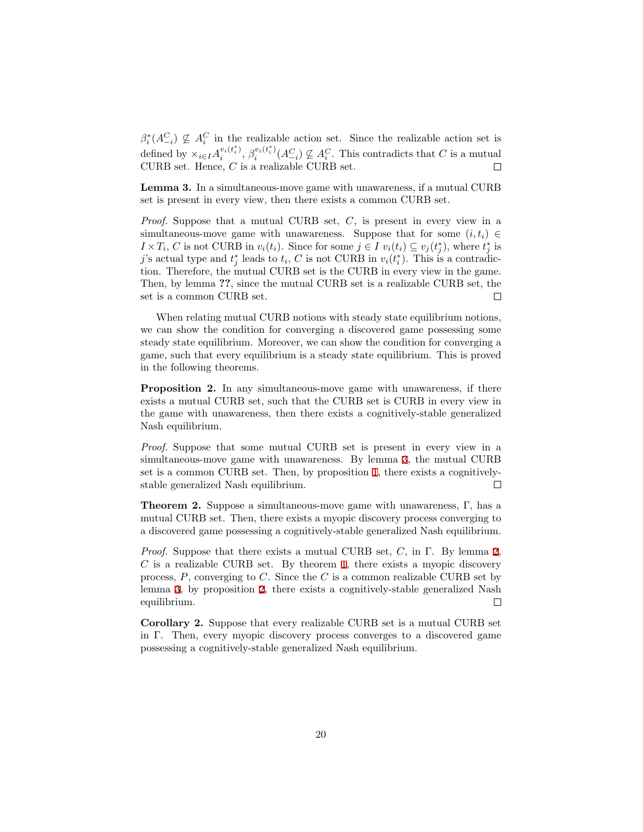$\beta_i^*(A_{-i}^C) \nsubseteq A_i^C$  in the realizable action set. Since the realizable action set is defined by  $\times_{i \in I} A_i^{v_i(t_i^*)}$  $v_i(t_i^*), \beta_i^{v_i(t_i^*)}$  $a_i^{v_i(t_i^+)}(A_{-i}^C) \nsubseteq A_i^C$ . This contradicts that *C* is a mutual CURB set. Hence, *C* is a realizable CURB set.  $\Box$ 

<span id="page-20-0"></span>**Lemma 3.** In a simultaneous-move game with unawareness, if a mutual CURB set is present in every view, then there exists a common CURB set.

*Proof.* Suppose that a mutual CURB set, *C*, is present in every view in a simultaneous-move game with unawareness. Suppose that for some  $(i, t_i) \in$  $I \times T_i$ , C is not CURB in  $v_i(t_i)$ . Since for some  $j \in I$   $v_i(t_i) \subseteq v_j(t_j^*)$ , where  $t_j^*$  is *j*'s actual type and  $t_j^*$  leads to  $t_i$ , *C* is not CURB in  $v_i(t_i^*)$ . This is a contradiction. Therefore, the mutual CURB set is the CURB in every view in the game. Then, by lemma **??**, since the mutual CURB set is a realizable CURB set, the set is a common CURB set.  $\Box$ 

When relating mutual CURB notions with steady state equilibrium notions, we can show the condition for converging a discovered game possessing some steady state equilibrium. Moreover, we can show the condition for converging a game, such that every equilibrium is a steady state equilibrium. This is proved in the following theorems.

<span id="page-20-1"></span>**Proposition 2.** In any simultaneous-move game with unawareness, if there exists a mutual CURB set, such that the CURB set is CURB in every view in the game with unawareness, then there exists a cognitively-stable generalized Nash equilibrium.

*Proof.* Suppose that some mutual CURB set is present in every view in a simultaneous-move game with unawareness. By lemma [3](#page-20-0), the mutual CURB set is a common CURB set. Then, by proposition [1,](#page-11-0) there exists a cognitivelystable generalized Nash equilibrium.  $\Box$ 

**Theorem 2.** Suppose a simultaneous-move game with unawareness, Γ, has a mutual CURB set. Then, there exists a myopic discovery process converging to a discovered game possessing a cognitively-stable generalized Nash equilibrium.

*Proof.* Suppose that there exists a mutual CURB set, *C*, in Γ. By lemma [2,](#page-19-1) *C* is a realizable CURB set. By theorem [1](#page-17-1), there exists a myopic discovery process, *P*, converging to *C*. Since the *C* is a common realizable CURB set by lemma [3,](#page-20-0) by proposition [2](#page-20-1), there exists a cognitively-stable generalized Nash equilibrium.  $\Box$ 

**Corollary 2.** Suppose that every realizable CURB set is a mutual CURB set in Γ. Then, every myopic discovery process converges to a discovered game possessing a cognitively-stable generalized Nash equilibrium.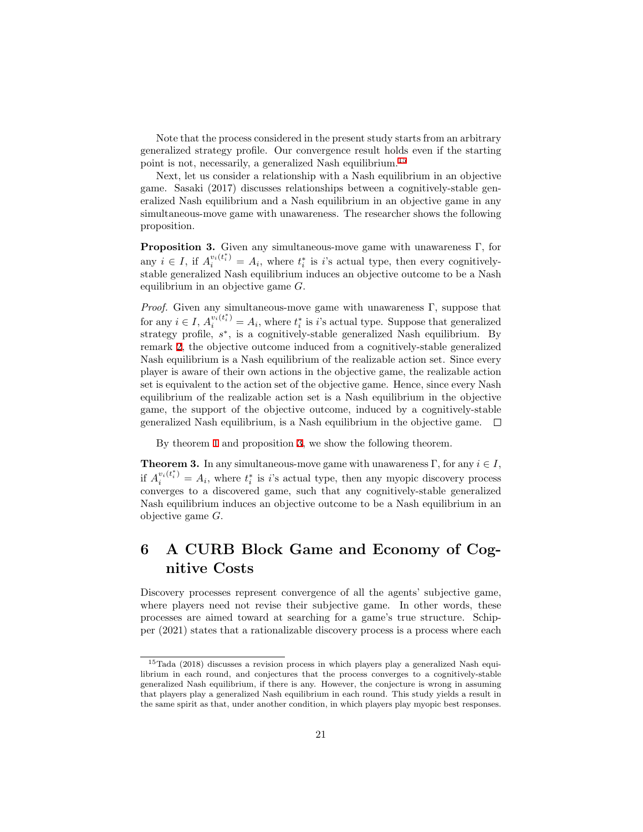Note that the process considered in the present study starts from an arbitrary generalized strategy profile. Our convergence result holds even if the starting point is not, necessarily, a generalized Nash equilibrium.[15](#page-21-0)

Next, let us consider a relationship with a Nash equilibrium in an objective game. Sasaki (2017) discusses relationships between a cognitively-stable generalized Nash equilibrium and a Nash equilibrium in an objective game in any simultaneous-move game with unawareness. The researcher shows the following proposition.

<span id="page-21-1"></span>**Proposition 3.** Given any simultaneous-move game with unawareness Γ, for any  $i \in I$ , if  $A_i^{v_i(t_i^*)} = A_i$ , where  $t_i^*$  is *i*'s actual type, then every cognitivelystable generalized Nash equilibrium induces an objective outcome to be a Nash equilibrium in an objective game *G*.

*Proof.* Given any simultaneous-move game with unawareness Γ, suppose that for any  $i \in I$ ,  $A_i^{v_i(t_i^*)} = A_i$ , where  $t_i^*$  is *i*'s actual type. Suppose that generalized strategy profile,  $s^*$ , is a cognitively-stable generalized Nash equilibrium. By remark [2](#page-7-0), the objective outcome induced from a cognitively-stable generalized Nash equilibrium is a Nash equilibrium of the realizable action set. Since every player is aware of their own actions in the objective game, the realizable action set is equivalent to the action set of the objective game. Hence, since every Nash equilibrium of the realizable action set is a Nash equilibrium in the objective game, the support of the objective outcome, induced by a cognitively-stable generalized Nash equilibrium, is a Nash equilibrium in the objective game.  $\Box$ 

By theorem [1](#page-17-1) and proposition [3](#page-21-1), we show the following theorem.

**Theorem 3.** In any simultaneous-move game with unawareness  $\Gamma$ , for any  $i \in I$ , if  $A_i^{v_i(t_i^*)} = A_i$ , where  $t_i^*$  is *i*'s actual type, then any myopic discovery process converges to a discovered game, such that any cognitively-stable generalized Nash equilibrium induces an objective outcome to be a Nash equilibrium in an objective game *G*.

## **6 A CURB Block Game and Economy of Cognitive Costs**

Discovery processes represent convergence of all the agents' subjective game, where players need not revise their subjective game. In other words, these processes are aimed toward at searching for a game's true structure. Schipper (2021) states that a rationalizable discovery process is a process where each

<span id="page-21-0"></span><sup>15</sup>Tada (2018) discusses a revision process in which players play a generalized Nash equilibrium in each round, and conjectures that the process converges to a cognitively-stable generalized Nash equilibrium, if there is any. However, the conjecture is wrong in assuming that players play a generalized Nash equilibrium in each round. This study yields a result in the same spirit as that, under another condition, in which players play myopic best responses.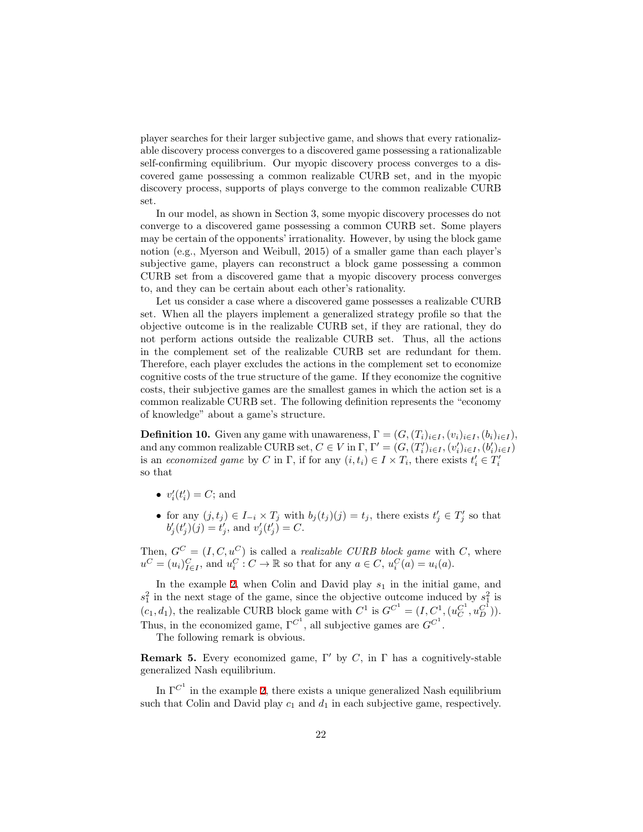player searches for their larger subjective game, and shows that every rationalizable discovery process converges to a discovered game possessing a rationalizable self-confirming equilibrium. Our myopic discovery process converges to a discovered game possessing a common realizable CURB set, and in the myopic discovery process, supports of plays converge to the common realizable CURB set.

In our model, as shown in Section 3, some myopic discovery processes do not converge to a discovered game possessing a common CURB set. Some players may be certain of the opponents' irrationality. However, by using the block game notion (e.g., Myerson and Weibull, 2015) of a smaller game than each player's subjective game, players can reconstruct a block game possessing a common CURB set from a discovered game that a myopic discovery process converges to, and they can be certain about each other's rationality.

Let us consider a case where a discovered game possesses a realizable CURB set. When all the players implement a generalized strategy profile so that the objective outcome is in the realizable CURB set, if they are rational, they do not perform actions outside the realizable CURB set. Thus, all the actions in the complement set of the realizable CURB set are redundant for them. Therefore, each player excludes the actions in the complement set to economize cognitive costs of the true structure of the game. If they economize the cognitive costs, their subjective games are the smallest games in which the action set is a common realizable CURB set. The following definition represents the "economy of knowledge" about a game's structure.

**Definition 10.** Given any game with unawareness,  $\Gamma = (G, (T_i)_{i \in I}, (v_i)_{i \in I}, (b_i)_{i \in I})$ , and any common realizable CURB set,  $C \in V$  in  $\Gamma$ ,  $\Gamma' = (G, (T'_i)_{i \in I}, (v'_i)_{i \in I}, (b'_i)_{i \in I})$ is an *economized game* by *C* in  $\Gamma$ , if for any  $(i, t_i) \in I \times T_i$ , there exists  $t'_i \in T'_i$ so that

- $v_i'(t_i') = C$ ; and
- for any  $(j, t_j) \in I_{-i} \times T_j$  with  $b_j(t_j)(j) = t_j$ , there exists  $t'_j \in T'_j$  so that  $b'_{j}(t'_{j})(j) = t'_{j}$ , and  $v'_{j}(t'_{j}) = C$ .

Then,  $G^C = (I, C, u^C)$  is called a *realizable CURB block game* with *C*, where  $u^C = (u_i)_{i \in I}^C$ , and  $u_i^C : C \to \mathbb{R}$  so that for any  $a \in C$ ,  $u_i^C(a) = u_i(a)$ .

In the example [2,](#page-14-1) when Colin and David play  $s_1$  in the initial game, and  $s_1^2$  in the next stage of the game, since the objective outcome induced by  $s_1^2$  is  $(c_1, d_1)$ , the realizable CURB block game with  $C^1$  is  $G^{C^1} = (I, C^1, (u_C^{C^1}, u_D^{C^1}))$ . Thus, in the economized game,  $\Gamma^{C^1}$ , all subjective games are  $G^{C^1}$ .

The following remark is obvious.

**Remark 5.** Every economized game,  $\Gamma'$  by *C*, in  $\Gamma$  has a cognitively-stable generalized Nash equilibrium.

In  $\Gamma^{C^1}$  in the example [2,](#page-14-1) there exists a unique generalized Nash equilibrium such that Colin and David play  $c_1$  and  $d_1$  in each subjective game, respectively.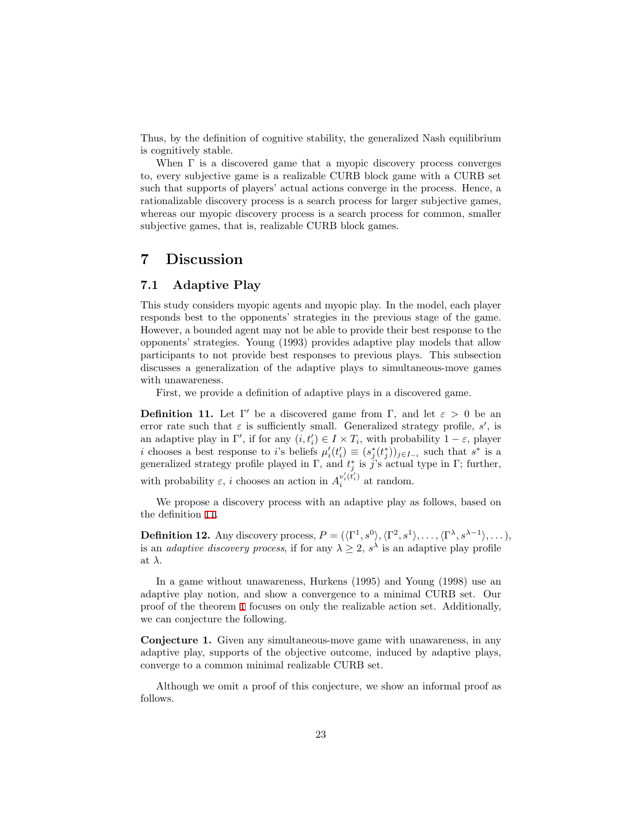Thus, by the definition of cognitive stability, the generalized Nash equilibrium is cognitively stable.

When  $\Gamma$  is a discovered game that a myopic discovery process converges to, every subjective game is a realizable CURB block game with a CURB set such that supports of players' actual actions converge in the process. Hence, a rationalizable discovery process is a search process for larger subjective games, whereas our myopic discovery process is a search process for common, smaller subjective games, that is, realizable CURB block games.

## **7 Discussion**

### **7.1 Adaptive Play**

This study considers myopic agents and myopic play. In the model, each player responds best to the opponents' strategies in the previous stage of the game. However, a bounded agent may not be able to provide their best response to the opponents' strategies. Young (1993) provides adaptive play models that allow participants to not provide best responses to previous plays. This subsection discusses a generalization of the adaptive plays to simultaneous-move games with unawareness.

First, we provide a definition of adaptive plays in a discovered game.

<span id="page-23-0"></span>**Definition 11.** Let Γ' be a discovered game from Γ, and let  $\varepsilon > 0$  be an error rate such that  $\varepsilon$  is sufficiently small. Generalized strategy profile,  $s'$ , is an adaptive play in  $\Gamma'$ , if for any  $(i, t'_i) \in I \times T_i$ , with probability  $1 - \varepsilon$ , player *i* chooses a best response to *i*'s beliefs  $\mu'_i(t'_i) \equiv (s_j^*(t_j^*))_{j \in I_{-i}}$  such that  $s^*$  is a generalized strategy profile played in Γ, and  $t_j^*$  is  $j$ 's actual type in Γ; further, with probability  $\varepsilon$ , *i* chooses an action in  $A_i^{v_i'(t_i')}$  $i^{v_i(t_i)}$  at random.

We propose a discovery process with an adaptive play as follows, based on the definition [11](#page-23-0).

**Definition 12.** Any discovery process,  $P = (\langle \Gamma^1, s^0 \rangle, \langle \Gamma^2, s^1 \rangle, \dots, \langle \Gamma^{\lambda}, s^{\lambda-1} \rangle, \dots)$ , is an *adaptive discovery process*, if for any  $\lambda \geq 2$ ,  $s^{\lambda}$  is an adaptive play profile at *λ*.

In a game without unawareness, Hurkens (1995) and Young (1998) use an adaptive play notion, and show a convergence to a minimal CURB set. Our proof of the theorem [1](#page-17-1) focuses on only the realizable action set. Additionally, we can conjecture the following.

**Conjecture 1.** Given any simultaneous-move game with unawareness, in any adaptive play, supports of the objective outcome, induced by adaptive plays, converge to a common minimal realizable CURB set.

Although we omit a proof of this conjecture, we show an informal proof as follows.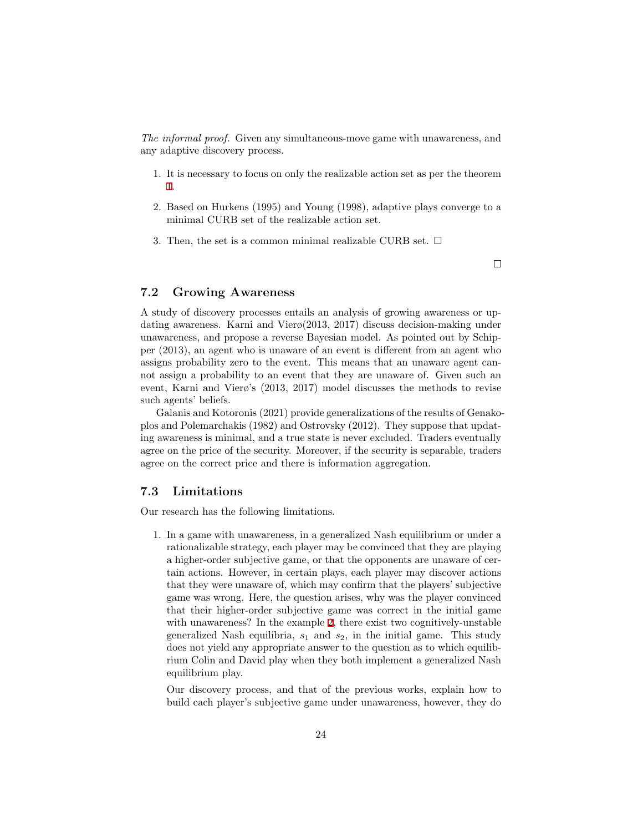*The informal proof.* Given any simultaneous-move game with unawareness, and any adaptive discovery process.

- 1. It is necessary to focus on only the realizable action set as per the theorem [1.](#page-17-1)
- 2. Based on Hurkens (1995) and Young (1998), adaptive plays converge to a minimal CURB set of the realizable action set.
- 3. Then, the set is a common minimal realizable CURB set.  $\square$

 $\Box$ 

### **7.2 Growing Awareness**

A study of discovery processes entails an analysis of growing awareness or updating awareness. Karni and Vierø(2013, 2017) discuss decision-making under unawareness, and propose a reverse Bayesian model. As pointed out by Schipper (2013), an agent who is unaware of an event is different from an agent who assigns probability zero to the event. This means that an unaware agent cannot assign a probability to an event that they are unaware of. Given such an event, Karni and Vierø's (2013, 2017) model discusses the methods to revise such agents' beliefs.

Galanis and Kotoronis (2021) provide generalizations of the results of Genakoplos and Polemarchakis (1982) and Ostrovsky (2012). They suppose that updating awareness is minimal, and a true state is never excluded. Traders eventually agree on the price of the security. Moreover, if the security is separable, traders agree on the correct price and there is information aggregation.

### **7.3 Limitations**

Our research has the following limitations.

1. In a game with unawareness, in a generalized Nash equilibrium or under a rationalizable strategy, each player may be convinced that they are playing a higher-order subjective game, or that the opponents are unaware of certain actions. However, in certain plays, each player may discover actions that they were unaware of, which may confirm that the players' subjective game was wrong. Here, the question arises, why was the player convinced that their higher-order subjective game was correct in the initial game with unawareness? In the example [2](#page-14-1), there exist two cognitively-unstable generalized Nash equilibria, *s*<sup>1</sup> and *s*2, in the initial game. This study does not yield any appropriate answer to the question as to which equilibrium Colin and David play when they both implement a generalized Nash equilibrium play.

Our discovery process, and that of the previous works, explain how to build each player's subjective game under unawareness, however, they do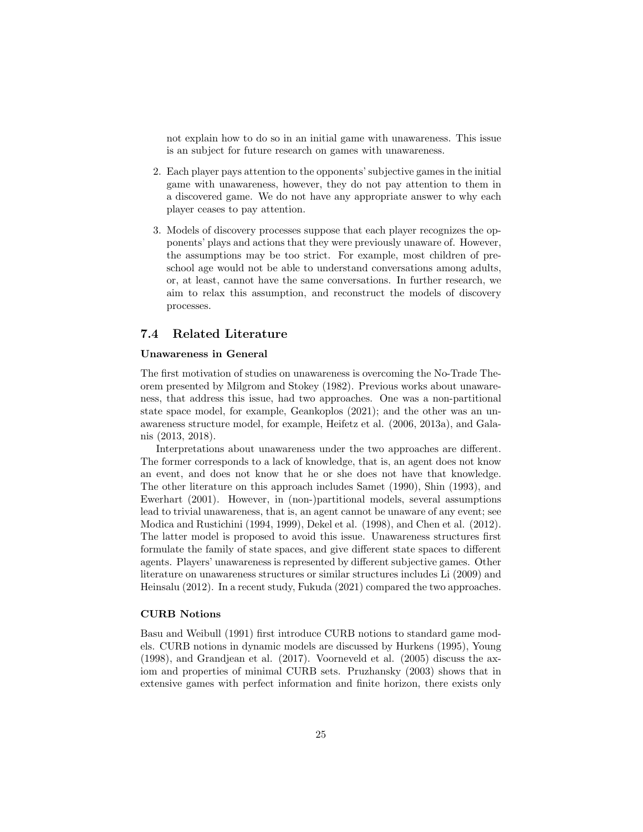not explain how to do so in an initial game with unawareness. This issue is an subject for future research on games with unawareness.

- 2. Each player pays attention to the opponents' subjective games in the initial game with unawareness, however, they do not pay attention to them in a discovered game. We do not have any appropriate answer to why each player ceases to pay attention.
- 3. Models of discovery processes suppose that each player recognizes the opponents' plays and actions that they were previously unaware of. However, the assumptions may be too strict. For example, most children of preschool age would not be able to understand conversations among adults, or, at least, cannot have the same conversations. In further research, we aim to relax this assumption, and reconstruct the models of discovery processes.

### **7.4 Related Literature**

### **Unawareness in General**

The first motivation of studies on unawareness is overcoming the No-Trade Theorem presented by Milgrom and Stokey (1982). Previous works about unawareness, that address this issue, had two approaches. One was a non-partitional state space model, for example, Geankoplos (2021); and the other was an unawareness structure model, for example, Heifetz et al. (2006, 2013a), and Galanis (2013, 2018).

Interpretations about unawareness under the two approaches are different. The former corresponds to a lack of knowledge, that is, an agent does not know an event, and does not know that he or she does not have that knowledge. The other literature on this approach includes Samet (1990), Shin (1993), and Ewerhart (2001). However, in (non-)partitional models, several assumptions lead to trivial unawareness, that is, an agent cannot be unaware of any event; see Modica and Rustichini (1994, 1999), Dekel et al. (1998), and Chen et al. (2012). The latter model is proposed to avoid this issue. Unawareness structures first formulate the family of state spaces, and give different state spaces to different agents. Players' unawareness is represented by different subjective games. Other literature on unawareness structures or similar structures includes Li (2009) and Heinsalu (2012). In a recent study, Fukuda (2021) compared the two approaches.

### **CURB Notions**

Basu and Weibull (1991) first introduce CURB notions to standard game models. CURB notions in dynamic models are discussed by Hurkens (1995), Young (1998), and Grandjean et al. (2017). Voorneveld et al. (2005) discuss the axiom and properties of minimal CURB sets. Pruzhansky (2003) shows that in extensive games with perfect information and finite horizon, there exists only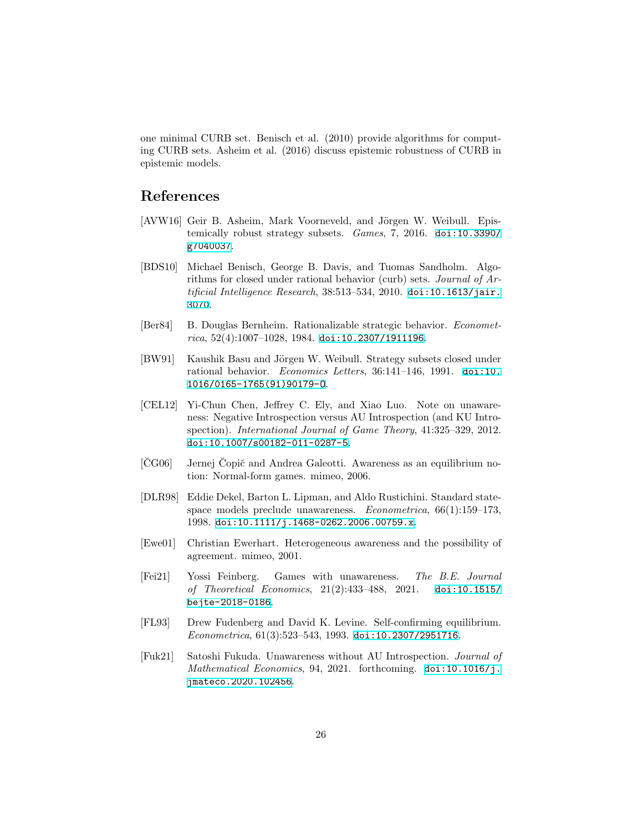one minimal CURB set. Benisch et al. (2010) provide algorithms for computing CURB sets. Asheim et al. (2016) discuss epistemic robustness of CURB in epistemic models.

## **References**

- [AVW16] Geir B. Asheim, Mark Voorneveld, and Jörgen W. Weibull. Epistemically robust strategy subsets. *Games*, 7, 2016. [doi:10.3390/](http://dx.doi.org/10.3390/g7040037) [g7040037](http://dx.doi.org/10.3390/g7040037).
- [BDS10] Michael Benisch, George B. Davis, and Tuomas Sandholm. Algorithms for closed under rational behavior (curb) sets. *Journal of Artificial Intelligence Research*, 38:513–534, 2010. [doi:10.1613/jair.](http://dx.doi.org/10.1613/jair.3070) [3070](http://dx.doi.org/10.1613/jair.3070).
- [Ber84] B. Douglas Bernheim. Rationalizable strategic behavior. *Econometrica*, 52(4):1007–1028, 1984. [doi:10.2307/1911196](http://dx.doi.org/10.2307/1911196).
- [BW91] Kaushik Basu and Jörgen W. Weibull. Strategy subsets closed under rational behavior. *Economics Letters*, 36:141–146, 1991. [doi:10.](http://dx.doi.org/10.1016/0165-1765(91)90179-O) [1016/0165-1765\(91\)90179-O](http://dx.doi.org/10.1016/0165-1765(91)90179-O).
- [CEL12] Yi-Chun Chen, Jeffrey C. Ely, and Xiao Luo. Note on unawareness: Negative Introspection versus AU Introspection (and KU Introspection). *International Journal of Game Theory*, 41:325–329, 2012. [doi:10.1007/s00182-011-0287-5](http://dx.doi.org/10.1007/s00182-011-0287-5).
- $[\text{C}G06]$  Jernej  $\text{C}$ opič and Andrea Galeotti. Awareness as an equilibrium notion: Normal-form games. mimeo, 2006.
- [DLR98] Eddie Dekel, Barton L. Lipman, and Aldo Rustichini. Standard statespace models preclude unawareness. *Econometrica*, 66(1):159–173, 1998. [doi:10.1111/j.1468-0262.2006.00759.x](http://dx.doi.org/10.1111/j.1468-0262.2006.00759.x).
- [Ewe01] Christian Ewerhart. Heterogeneous awareness and the possibility of agreement. mimeo, 2001.
- [Fei21] Yossi Feinberg. Games with unawareness. *The B.E. Journal of Theoretical Economics*, 21(2):433–488, 2021. [doi:10.1515/](http://dx.doi.org/10.1515/bejte-2018-0186) [bejte-2018-0186](http://dx.doi.org/10.1515/bejte-2018-0186).
- [FL93] Drew Fudenberg and David K. Levine. Self-confirming equilibrium. *Econometrica*, 61(3):523–543, 1993. [doi:10.2307/2951716](http://dx.doi.org/10.2307/2951716).
- [Fuk21] Satoshi Fukuda. Unawareness without AU Introspection. *Journal of Mathematical Economics*, 94, 2021. forthcoming. [doi:10.1016/j.](http://dx.doi.org/10.1016/j.jmateco.2020.102456) [jmateco.2020.102456](http://dx.doi.org/10.1016/j.jmateco.2020.102456).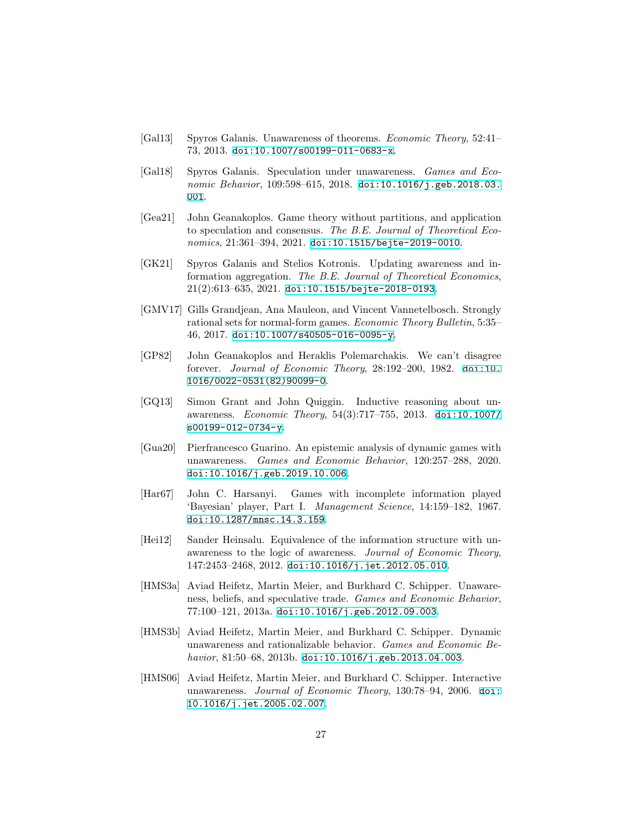- [Gal13] Spyros Galanis. Unawareness of theorems. *Economic Theory*, 52:41– 73, 2013. [doi:10.1007/s00199-011-0683-x](http://dx.doi.org/10.1007/s00199-011-0683-x).
- [Gal18] Spyros Galanis. Speculation under unawareness. *Games and Economic Behavior*, 109:598–615, 2018. [doi:10.1016/j.geb.2018.03.](http://dx.doi.org/10.1016/j.geb.2018.03.001) [001](http://dx.doi.org/10.1016/j.geb.2018.03.001).
- [Gea21] John Geanakoplos. Game theory without partitions, and application to speculation and consensus. *The B.E. Journal of Theoretical Economics*, 21:361–394, 2021. [doi:10.1515/bejte-2019-0010](http://dx.doi.org/10.1515/bejte-2019-0010).
- [GK21] Spyros Galanis and Stelios Kotronis. Updating awareness and information aggregation. *The B.E. Journal of Theoretical Economics*, 21(2):613–635, 2021. [doi:10.1515/bejte-2018-0193](http://dx.doi.org/10.1515/bejte-2018-0193).
- [GMV17] Gills Grandjean, Ana Mauleon, and Vincent Vannetelbosch. Strongly rational sets for normal-form games. *Economic Theory Bulletin*, 5:35– 46, 2017. [doi:10.1007/s40505-016-0095-y](http://dx.doi.org/10.1007/s40505-016-0095-y).
- [GP82] John Geanakoplos and Heraklis Polemarchakis. We can't disagree forever. *Journal of Economic Theory*, 28:192–200, 1982. [doi:10.](http://dx.doi.org/10.1016/0022-0531(82)90099-0) [1016/0022-0531\(82\)90099-0](http://dx.doi.org/10.1016/0022-0531(82)90099-0).
- [GQ13] Simon Grant and John Quiggin. Inductive reasoning about unawareness. *Economic Theory*, 54(3):717–755, 2013. [doi:10.1007/](http://dx.doi.org/10.1007/s00199-012-0734-y) [s00199-012-0734-y](http://dx.doi.org/10.1007/s00199-012-0734-y).
- [Gua20] Pierfrancesco Guarino. An epistemic analysis of dynamic games with unawareness. *Games and Economic Behavior*, 120:257–288, 2020. [doi:10.1016/j.geb.2019.10.006](http://dx.doi.org/10.1016/j.geb.2019.10.006).
- [Har67] John C. Harsanyi. Games with incomplete information played 'Bayesian' player, Part I. *Management Science*, 14:159–182, 1967. [doi:10.1287/mnsc.14.3.159](http://dx.doi.org/10.1287/mnsc.14.3.159).
- [Hei12] Sander Heinsalu. Equivalence of the information structure with unawareness to the logic of awareness. *Journal of Economic Theory*, 147:2453–2468, 2012. [doi:10.1016/j.jet.2012.05.010](http://dx.doi.org/10.1016/j.jet.2012.05.010).
- [HMS3a] Aviad Heifetz, Martin Meier, and Burkhard C. Schipper. Unawareness, beliefs, and speculative trade. *Games and Economic Behavior*, 77:100–121, 2013a. [doi:10.1016/j.geb.2012.09.003](http://dx.doi.org/10.1016/j.geb.2012.09.003).
- [HMS3b] Aviad Heifetz, Martin Meier, and Burkhard C. Schipper. Dynamic unawareness and rationalizable behavior. *Games and Economic Behavior*, 81:50–68, 2013b. [doi:10.1016/j.geb.2013.04.003](http://dx.doi.org/10.1016/j.geb.2013.04.003).
- [HMS06] Aviad Heifetz, Martin Meier, and Burkhard C. Schipper. Interactive unawareness. *Journal of Economic Theory*, 130:78–94, 2006. [doi:](http://dx.doi.org/10.1016/j.jet.2005.02.007) [10.1016/j.jet.2005.02.007](http://dx.doi.org/10.1016/j.jet.2005.02.007).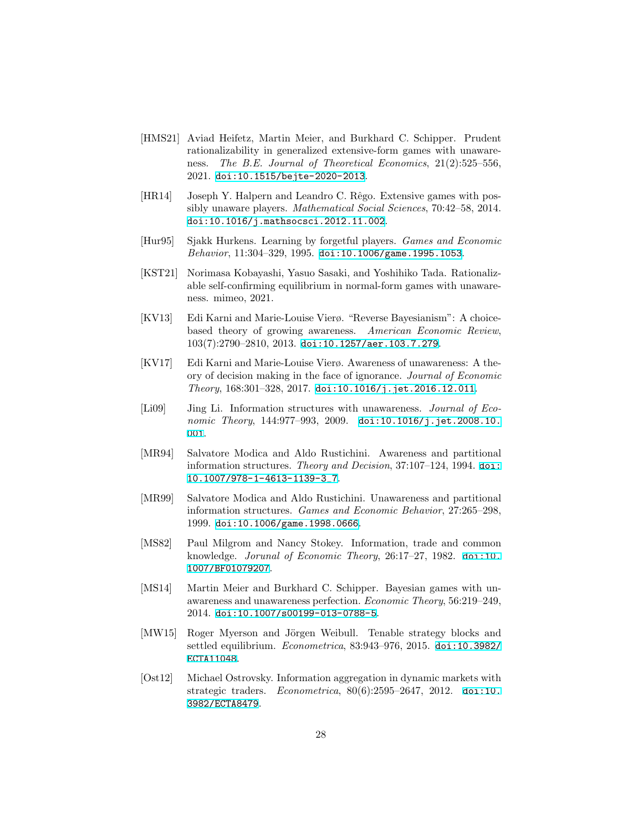- [HMS21] Aviad Heifetz, Martin Meier, and Burkhard C. Schipper. Prudent rationalizability in generalized extensive-form games with unawareness. *The B.E. Journal of Theoretical Economics*, 21(2):525–556, 2021. [doi:10.1515/bejte-2020-2013](http://dx.doi.org/10.1515/bejte-2020-2013).
- [HR14] Joseph Y. Halpern and Leandro C. Rêgo. Extensive games with possibly unaware players. *Mathematical Social Sciences*, 70:42–58, 2014. [doi:10.1016/j.mathsocsci.2012.11.002](http://dx.doi.org/10.1016/j.mathsocsci.2012.11.002).
- [Hur95] Sjakk Hurkens. Learning by forgetful players. *Games and Economic Behavior*, 11:304–329, 1995. [doi:10.1006/game.1995.1053](http://dx.doi.org/10.1006/game.1995.1053).
- [KST21] Norimasa Kobayashi, Yasuo Sasaki, and Yoshihiko Tada. Rationalizable self-confirming equilibrium in normal-form games with unawareness. mimeo, 2021.
- [KV13] Edi Karni and Marie-Louise Vierø. "Reverse Bayesianism": A choicebased theory of growing awareness. *American Economic Review*, 103(7):2790–2810, 2013. [doi:10.1257/aer.103.7.279](http://dx.doi.org/10.1257/aer.103.7.279).
- [KV17] Edi Karni and Marie-Louise Vierø. Awareness of unawareness: A theory of decision making in the face of ignorance. *Journal of Economic Theory*, 168:301–328, 2017. [doi:10.1016/j.jet.2016.12.011](http://dx.doi.org/10.1016/j.jet.2016.12.011).
- [Li09] Jing Li. Information structures with unawareness. *Journal of Economic Theory*, 144:977-993, 2009. [doi:10.1016/j.jet.2008.10.](http://dx.doi.org/10.1016/j.jet.2008.10.001) [001](http://dx.doi.org/10.1016/j.jet.2008.10.001).
- [MR94] Salvatore Modica and Aldo Rustichini. Awareness and partitional information structures. *Theory and Decision*, 37:107–124, 1994. [doi:](http://dx.doi.org/10.1007/978-1-4613-1139-3_7) [10.1007/978-1-4613-1139-3\\_7](http://dx.doi.org/10.1007/978-1-4613-1139-3_7).
- [MR99] Salvatore Modica and Aldo Rustichini. Unawareness and partitional information structures. *Games and Economic Behavior*, 27:265–298, 1999. [doi:10.1006/game.1998.0666](http://dx.doi.org/10.1006/game.1998.0666).
- [MS82] Paul Milgrom and Nancy Stokey. Information, trade and common knowledge. *Jorunal of Economic Theory*, 26:17–27, 1982. [doi:10.](http://dx.doi.org/10.1007/BF01079207) [1007/BF01079207](http://dx.doi.org/10.1007/BF01079207).
- [MS14] Martin Meier and Burkhard C. Schipper. Bayesian games with unawareness and unawareness perfection. *Economic Theory*, 56:219–249, 2014. [doi:10.1007/s00199-013-0788-5](http://dx.doi.org/10.1007/s00199-013-0788-5).
- [MW15] Roger Myerson and Jörgen Weibull. Tenable strategy blocks and settled equilibrium. *Econometrica*, 83:943–976, 2015. [doi:10.3982/](http://dx.doi.org/10.3982/ECTA11048) [ECTA11048](http://dx.doi.org/10.3982/ECTA11048).
- [Ost12] Michael Ostrovsky. Information aggregation in dynamic markets with strategic traders. *Econometrica*, 80(6):2595–2647, 2012. [doi:10.](http://dx.doi.org/10.3982/ECTA8479) [3982/ECTA8479](http://dx.doi.org/10.3982/ECTA8479).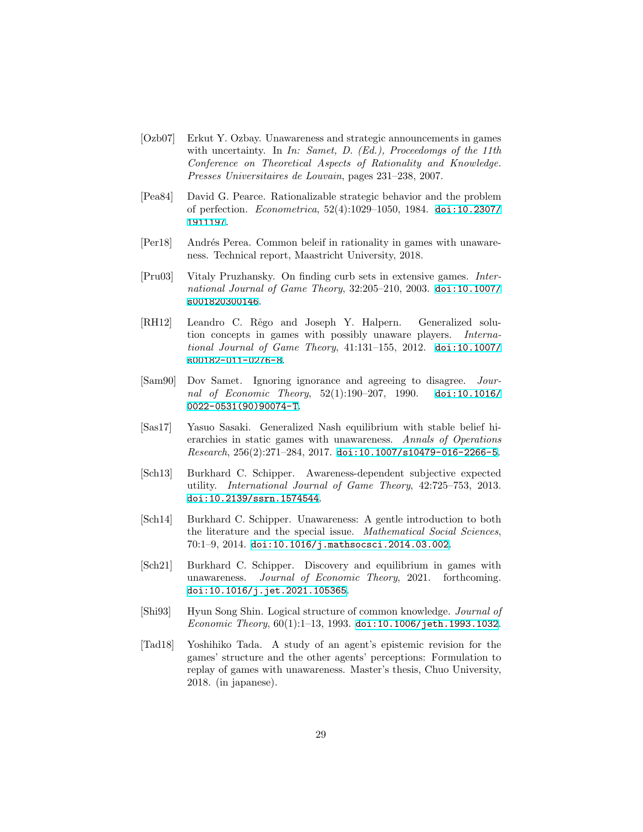- [Ozb07] Erkut Y. Ozbay. Unawareness and strategic announcements in games with uncertainty. In *In: Samet, D. (Ed.), Proceedomgs of the 11th Conference on Theoretical Aspects of Rationality and Knowledge. Presses Universitaires de Louvain*, pages 231–238, 2007.
- [Pea84] David G. Pearce. Rationalizable strategic behavior and the problem of perfection. *Econometrica*, 52(4):1029–1050, 1984. [doi:10.2307/](http://dx.doi.org/10.2307/1911197) [1911197](http://dx.doi.org/10.2307/1911197).
- [Per18] Andrés Perea. Common beleif in rationality in games with unawareness. Technical report, Maastricht University, 2018.
- [Pru03] Vitaly Pruzhansky. On finding curb sets in extensive games. *International Journal of Game Theory*, 32:205–210, 2003. [doi:10.1007/](http://dx.doi.org/10.1007/s001820300146) [s001820300146](http://dx.doi.org/10.1007/s001820300146).
- [RH12] Leandro C. Rêgo and Joseph Y. Halpern. Generalized solution concepts in games with possibly unaware players. *International Journal of Game Theory*, 41:131–155, 2012. [doi:10.1007/](http://dx.doi.org/10.1007/s00182-011-0276-8) [s00182-011-0276-8](http://dx.doi.org/10.1007/s00182-011-0276-8).
- [Sam90] Dov Samet. Ignoring ignorance and agreeing to disagree. *Journal of Economic Theory*, 52(1):190–207, 1990. [doi:10.1016/](http://dx.doi.org/10.1016/0022-0531(90)90074-T) [0022-0531\(90\)90074-T](http://dx.doi.org/10.1016/0022-0531(90)90074-T).
- [Sas17] Yasuo Sasaki. Generalized Nash equilibrium with stable belief hierarchies in static games with unawareness. *Annals of Operations Research*, 256(2):271–284, 2017. [doi:10.1007/s10479-016-2266-5](http://dx.doi.org/10.1007/s10479-016-2266-5).
- [Sch13] Burkhard C. Schipper. Awareness-dependent subjective expected utility. *International Journal of Game Theory*, 42:725–753, 2013. [doi:10.2139/ssrn.1574544](http://dx.doi.org/10.2139/ssrn.1574544).
- [Sch14] Burkhard C. Schipper. Unawareness: A gentle introduction to both the literature and the special issue. *Mathematical Social Sciences*, 70:1–9, 2014. [doi:10.1016/j.mathsocsci.2014.03.002](http://dx.doi.org/10.1016/j.mathsocsci.2014.03.002).
- [Sch21] Burkhard C. Schipper. Discovery and equilibrium in games with unawareness. *Journal of Economic Theory*, 2021. forthcoming. [doi:10.1016/j.jet.2021.105365](http://dx.doi.org/10.1016/j.jet.2021.105365).
- [Shi93] Hyun Song Shin. Logical structure of common knowledge. *Journal of Economic Theory*, 60(1):1–13, 1993. [doi:10.1006/jeth.1993.1032](http://dx.doi.org/10.1006/jeth.1993.1032).
- [Tad18] Yoshihiko Tada. A study of an agent's epistemic revision for the games' structure and the other agents' perceptions: Formulation to replay of games with unawareness. Master's thesis, Chuo University, 2018. (in japanese).